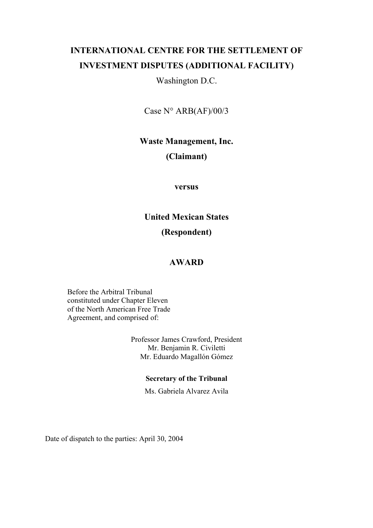# **INTERNATIONAL CENTRE FOR THE SETTLEMENT OF INVESTMENT DISPUTES (ADDITIONAL FACILITY)**

Washington D.C.

Case N° ARB(AF)/00/3

**Waste Management, Inc.** 

# **(Claimant)**

## **versus**

# **United Mexican States**

# **(Respondent)**

# **AWARD**

Before the Arbitral Tribunal constituted under Chapter Eleven of the North American Free Trade Agreement, and comprised of:

> Professor James Crawford, President Mr. Benjamin R. Civiletti Mr. Eduardo Magallón Gómez

### **Secretary of the Tribunal**

Ms. Gabriela Alvarez Avila

Date of dispatch to the parties: April 30, 2004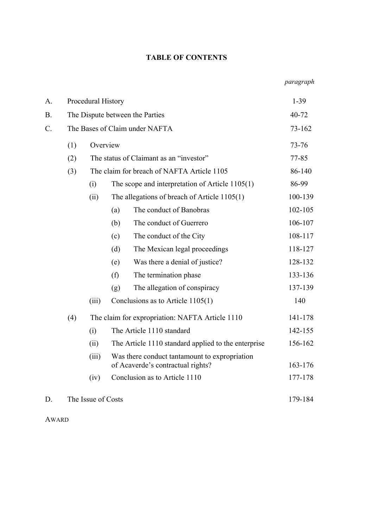### **TABLE OF CONTENTS**

| A.        | Procedural History             | $1-39$                          |                                                                                    |                                |         |
|-----------|--------------------------------|---------------------------------|------------------------------------------------------------------------------------|--------------------------------|---------|
| <b>B.</b> |                                | The Dispute between the Parties | 40-72                                                                              |                                |         |
| $C$ .     | The Bases of Claim under NAFTA | 73-162                          |                                                                                    |                                |         |
|           | (1)                            | Overview                        |                                                                                    | 73-76                          |         |
|           | (2)                            |                                 | The status of Claimant as an "investor"                                            |                                |         |
|           | (3)                            |                                 | The claim for breach of NAFTA Article 1105                                         |                                |         |
|           |                                | (i)                             | The scope and interpretation of Article $1105(1)$                                  |                                |         |
|           |                                | (ii)                            | The allegations of breach of Article $1105(1)$                                     |                                | 100-139 |
|           |                                |                                 | (a)                                                                                | The conduct of Banobras        | 102-105 |
|           |                                |                                 | (b)                                                                                | The conduct of Guerrero        | 106-107 |
|           |                                |                                 | (c)                                                                                | The conduct of the City        | 108-117 |
|           |                                |                                 | (d)                                                                                | The Mexican legal proceedings  | 118-127 |
|           |                                |                                 | (e)                                                                                | Was there a denial of justice? | 128-132 |
|           |                                |                                 | (f)                                                                                | The termination phase          | 133-136 |
|           |                                |                                 | (g)                                                                                | The allegation of conspiracy   | 137-139 |
|           |                                | (iii)                           | Conclusions as to Article $1105(1)$                                                |                                | 140     |
|           | (4)                            |                                 | The claim for expropriation: NAFTA Article 1110                                    |                                |         |
|           |                                | (i)                             | The Article 1110 standard                                                          |                                | 142-155 |
|           |                                | (ii)                            | The Article 1110 standard applied to the enterprise                                |                                | 156-162 |
|           |                                | (iii)                           | Was there conduct tantamount to expropriation<br>of Acaverde's contractual rights? |                                | 163-176 |
|           |                                | (iv)                            |                                                                                    | Conclusion as to Article 1110  | 177-178 |
| D.        |                                | The Issue of Costs              |                                                                                    |                                |         |

AWARD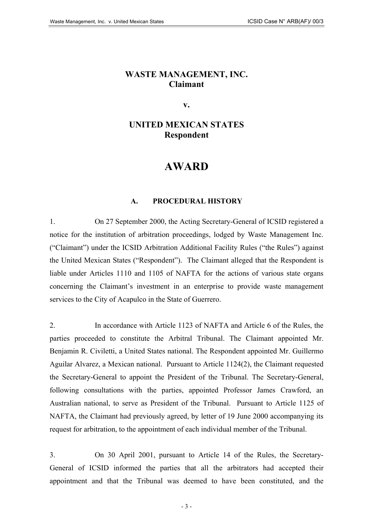# **WASTE MANAGEMENT, INC. Claimant**

**v.** 

# **UNITED MEXICAN STATES Respondent**

# **AWARD**

### **A. PROCEDURAL HISTORY**

1. On 27 September 2000, the Acting Secretary-General of ICSID registered a notice for the institution of arbitration proceedings, lodged by Waste Management Inc. ("Claimant") under the ICSID Arbitration Additional Facility Rules ("the Rules") against the United Mexican States ("Respondent"). The Claimant alleged that the Respondent is liable under Articles 1110 and 1105 of NAFTA for the actions of various state organs concerning the Claimant's investment in an enterprise to provide waste management services to the City of Acapulco in the State of Guerrero.

2. In accordance with Article 1123 of NAFTA and Article 6 of the Rules, the parties proceeded to constitute the Arbitral Tribunal. The Claimant appointed Mr. Benjamin R. Civiletti, a United States national. The Respondent appointed Mr. Guillermo Aguilar Alvarez, a Mexican national. Pursuant to Article 1124(2), the Claimant requested the Secretary-General to appoint the President of the Tribunal. The Secretary-General, following consultations with the parties, appointed Professor James Crawford, an Australian national, to serve as President of the Tribunal. Pursuant to Article 1125 of NAFTA, the Claimant had previously agreed, by letter of 19 June 2000 accompanying its request for arbitration, to the appointment of each individual member of the Tribunal.

3. On 30 April 2001, pursuant to Article 14 of the Rules, the Secretary-General of ICSID informed the parties that all the arbitrators had accepted their appointment and that the Tribunal was deemed to have been constituted, and the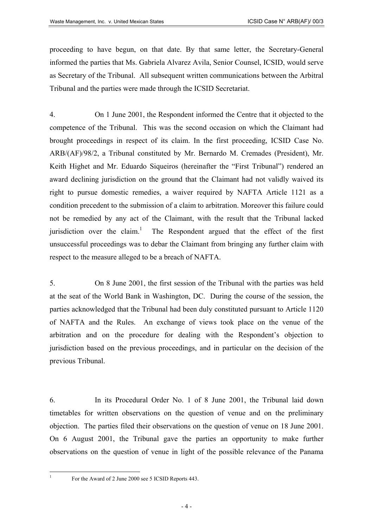proceeding to have begun, on that date. By that same letter, the Secretary-General informed the parties that Ms. Gabriela Alvarez Avila, Senior Counsel, ICSID, would serve as Secretary of the Tribunal. All subsequent written communications between the Arbitral Tribunal and the parties were made through the ICSID Secretariat.

4. On 1 June 2001, the Respondent informed the Centre that it objected to the competence of the Tribunal. This was the second occasion on which the Claimant had brought proceedings in respect of its claim. In the first proceeding, ICSID Case No. ARB/(AF)/98/2, a Tribunal constituted by Mr. Bernardo M. Cremades (President), Mr. Keith Highet and Mr. Eduardo Siqueiros (hereinafter the "First Tribunal") rendered an award declining jurisdiction on the ground that the Claimant had not validly waived its right to pursue domestic remedies, a waiver required by NAFTA Article 1121 as a condition precedent to the submission of a claim to arbitration. Moreover this failure could not be remedied by any act of the Claimant, with the result that the Tribunal lacked jurisdiction over the claim.<sup>[1](#page-3-0)</sup> The Respondent argued that the effect of the first unsuccessful proceedings was to debar the Claimant from bringing any further claim with respect to the measure alleged to be a breach of NAFTA.

5. On 8 June 2001, the first session of the Tribunal with the parties was held at the seat of the World Bank in Washington, DC. During the course of the session, the parties acknowledged that the Tribunal had been duly constituted pursuant to Article 1120 of NAFTA and the Rules. An exchange of views took place on the venue of the arbitration and on the procedure for dealing with the Respondent's objection to jurisdiction based on the previous proceedings, and in particular on the decision of the previous Tribunal.

6. In its Procedural Order No. 1 of 8 June 2001, the Tribunal laid down timetables for written observations on the question of venue and on the preliminary objection. The parties filed their observations on the question of venue on 18 June 2001. On 6 August 2001, the Tribunal gave the parties an opportunity to make further observations on the question of venue in light of the possible relevance of the Panama

<span id="page-3-0"></span>For the Award of 2 June 2000 see 5 ICSID Reports 443.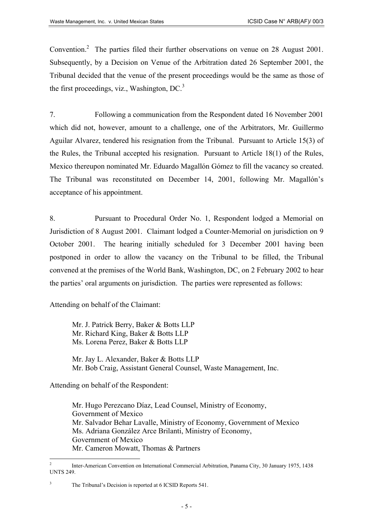Convention.<sup>[2](#page-4-0)</sup> The parties filed their further observations on venue on 28 August 2001. Subsequently, by a Decision on Venue of the Arbitration dated 26 September 2001, the Tribunal decided that the venue of the present proceedings would be the same as those of the first proceedings, viz., Washington,  $DC<sup>3</sup>$  $DC<sup>3</sup>$  $DC<sup>3</sup>$ 

7. Following a communication from the Respondent dated 16 November 2001 which did not, however, amount to a challenge, one of the Arbitrators, Mr. Guillermo Aguilar Alvarez, tendered his resignation from the Tribunal. Pursuant to Article 15(3) of the Rules, the Tribunal accepted his resignation. Pursuant to Article 18(1) of the Rules, Mexico thereupon nominated Mr. Eduardo Magallón Gómez to fill the vacancy so created. The Tribunal was reconstituted on December 14, 2001, following Mr. Magallón's acceptance of his appointment.

8. Pursuant to Procedural Order No. 1, Respondent lodged a Memorial on Jurisdiction of 8 August 2001. Claimant lodged a Counter-Memorial on jurisdiction on 9 October 2001. The hearing initially scheduled for 3 December 2001 having been postponed in order to allow the vacancy on the Tribunal to be filled, the Tribunal convened at the premises of the World Bank, Washington, DC, on 2 February 2002 to hear the parties' oral arguments on jurisdiction. The parties were represented as follows:

Attending on behalf of the Claimant:

Mr. J. Patrick Berry, Baker & Botts LLP Mr. Richard King, Baker & Botts LLP Ms. Lorena Perez, Baker & Botts LLP

Mr. Jay L. Alexander, Baker & Botts LLP Mr. Bob Craig, Assistant General Counsel, Waste Management, Inc.

Attending on behalf of the Respondent:

Mr. Hugo Perezcano Díaz, Lead Counsel, Ministry of Economy, Government of Mexico Mr. Salvador Behar Lavalle, Ministry of Economy, Government of Mexico Ms. Adriana González Arce Brilanti, Ministry of Economy, Government of Mexico Mr. Cameron Mowatt, Thomas & Partners

<span id="page-4-0"></span> $\overline{2}$ <sup>2</sup> Inter-American Convention on International Commercial Arbitration, Panama City, 30 January 1975, 1438 UNTS 249.

<span id="page-4-1"></span><sup>&</sup>lt;sup>3</sup> The Tribunal's Decision is reported at 6 ICSID Reports 541.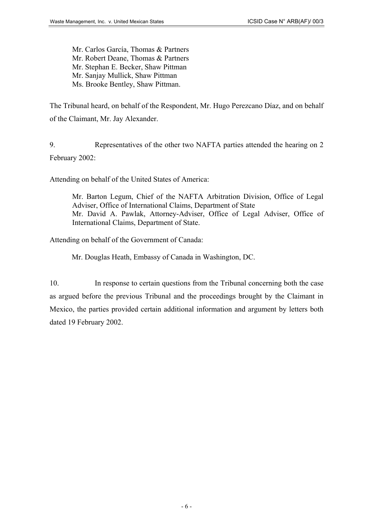Mr. Carlos García, Thomas & Partners Mr. Robert Deane, Thomas & Partners Mr. Stephan E. Becker, Shaw Pittman Mr. Sanjay Mullick, Shaw Pittman Ms. Brooke Bentley, Shaw Pittman.

The Tribunal heard, on behalf of the Respondent, Mr. Hugo Perezcano Díaz, and on behalf of the Claimant, Mr. Jay Alexander.

9. Representatives of the other two NAFTA parties attended the hearing on 2 February 2002:

Attending on behalf of the United States of America:

Mr. Barton Legum, Chief of the NAFTA Arbitration Division, Office of Legal Adviser, Office of International Claims, Department of State Mr. David A. Pawlak, Attorney-Adviser, Office of Legal Adviser, Office of International Claims, Department of State.

Attending on behalf of the Government of Canada:

Mr. Douglas Heath, Embassy of Canada in Washington, DC.

10. In response to certain questions from the Tribunal concerning both the case as argued before the previous Tribunal and the proceedings brought by the Claimant in Mexico, the parties provided certain additional information and argument by letters both dated 19 February 2002.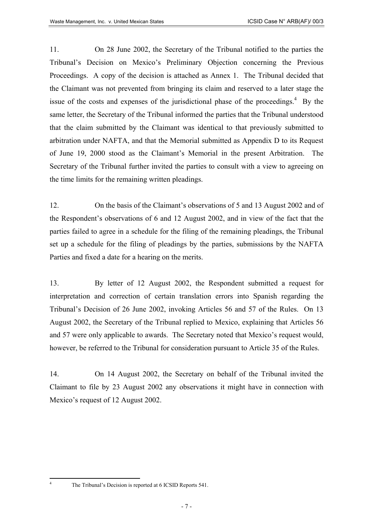11. On 28 June 2002, the Secretary of the Tribunal notified to the parties the Tribunal's Decision on Mexico's Preliminary Objection concerning the Previous Proceedings. A copy of the decision is attached as Annex 1. The Tribunal decided that the Claimant was not prevented from bringing its claim and reserved to a later stage the issue of the costs and expenses of the jurisdictional phase of the proceedings. $4$  By the same letter, the Secretary of the Tribunal informed the parties that the Tribunal understood that the claim submitted by the Claimant was identical to that previously submitted to arbitration under NAFTA, and that the Memorial submitted as Appendix D to its Request of June 19, 2000 stood as the Claimant's Memorial in the present Arbitration. The Secretary of the Tribunal further invited the parties to consult with a view to agreeing on the time limits for the remaining written pleadings.

12. On the basis of the Claimant's observations of 5 and 13 August 2002 and of the Respondent's observations of 6 and 12 August 2002, and in view of the fact that the parties failed to agree in a schedule for the filing of the remaining pleadings, the Tribunal set up a schedule for the filing of pleadings by the parties, submissions by the NAFTA Parties and fixed a date for a hearing on the merits.

13. By letter of 12 August 2002, the Respondent submitted a request for interpretation and correction of certain translation errors into Spanish regarding the Tribunal's Decision of 26 June 2002, invoking Articles 56 and 57 of the Rules. On 13 August 2002, the Secretary of the Tribunal replied to Mexico, explaining that Articles 56 and 57 were only applicable to awards. The Secretary noted that Mexico's request would, however, be referred to the Tribunal for consideration pursuant to Article 35 of the Rules.

14. On 14 August 2002, the Secretary on behalf of the Tribunal invited the Claimant to file by 23 August 2002 any observations it might have in connection with Mexico's request of 12 August 2002.

<span id="page-6-0"></span>The Tribunal's Decision is reported at 6 ICSID Reports 541.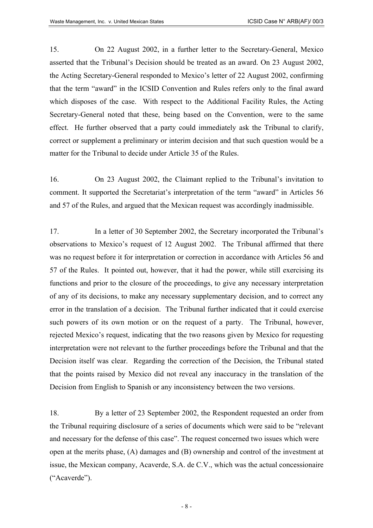15. On 22 August 2002, in a further letter to the Secretary-General, Mexico asserted that the Tribunal's Decision should be treated as an award. On 23 August 2002, the Acting Secretary-General responded to Mexico's letter of 22 August 2002, confirming that the term "award" in the ICSID Convention and Rules refers only to the final award which disposes of the case. With respect to the Additional Facility Rules, the Acting Secretary-General noted that these, being based on the Convention, were to the same effect. He further observed that a party could immediately ask the Tribunal to clarify, correct or supplement a preliminary or interim decision and that such question would be a matter for the Tribunal to decide under Article 35 of the Rules.

16. On 23 August 2002, the Claimant replied to the Tribunal's invitation to comment. It supported the Secretariat's interpretation of the term "award" in Articles 56 and 57 of the Rules, and argued that the Mexican request was accordingly inadmissible.

17. In a letter of 30 September 2002, the Secretary incorporated the Tribunal's observations to Mexico's request of 12 August 2002. The Tribunal affirmed that there was no request before it for interpretation or correction in accordance with Articles 56 and 57 of the Rules. It pointed out, however, that it had the power, while still exercising its functions and prior to the closure of the proceedings, to give any necessary interpretation of any of its decisions, to make any necessary supplementary decision, and to correct any error in the translation of a decision. The Tribunal further indicated that it could exercise such powers of its own motion or on the request of a party. The Tribunal, however, rejected Mexico's request, indicating that the two reasons given by Mexico for requesting interpretation were not relevant to the further proceedings before the Tribunal and that the Decision itself was clear. Regarding the correction of the Decision, the Tribunal stated that the points raised by Mexico did not reveal any inaccuracy in the translation of the Decision from English to Spanish or any inconsistency between the two versions.

18. By a letter of 23 September 2002, the Respondent requested an order from the Tribunal requiring disclosure of a series of documents which were said to be "relevant and necessary for the defense of this case". The request concerned two issues which were open at the merits phase, (A) damages and (B) ownership and control of the investment at issue, the Mexican company, Acaverde, S.A. de C.V., which was the actual concessionaire ("Acaverde").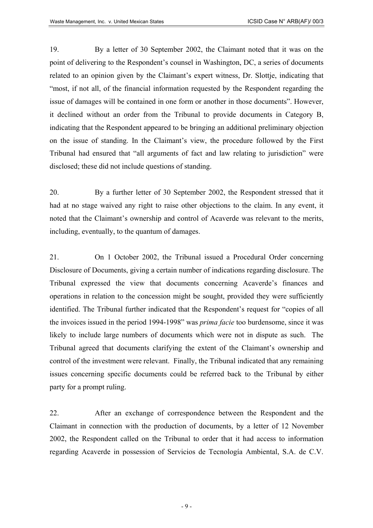19. By a letter of 30 September 2002, the Claimant noted that it was on the point of delivering to the Respondent's counsel in Washington, DC, a series of documents related to an opinion given by the Claimant's expert witness, Dr. Slottje, indicating that "most, if not all, of the financial information requested by the Respondent regarding the issue of damages will be contained in one form or another in those documents". However, it declined without an order from the Tribunal to provide documents in Category B, indicating that the Respondent appeared to be bringing an additional preliminary objection on the issue of standing. In the Claimant's view, the procedure followed by the First Tribunal had ensured that "all arguments of fact and law relating to jurisdiction" were disclosed; these did not include questions of standing.

20. By a further letter of 30 September 2002, the Respondent stressed that it had at no stage waived any right to raise other objections to the claim. In any event, it noted that the Claimant's ownership and control of Acaverde was relevant to the merits, including, eventually, to the quantum of damages.

21. On 1 October 2002, the Tribunal issued a Procedural Order concerning Disclosure of Documents, giving a certain number of indications regarding disclosure. The Tribunal expressed the view that documents concerning Acaverde's finances and operations in relation to the concession might be sought, provided they were sufficiently identified. The Tribunal further indicated that the Respondent's request for "copies of all the invoices issued in the period 1994-1998" was *prima facie* too burdensome, since it was likely to include large numbers of documents which were not in dispute as such. The Tribunal agreed that documents clarifying the extent of the Claimant's ownership and control of the investment were relevant. Finally, the Tribunal indicated that any remaining issues concerning specific documents could be referred back to the Tribunal by either party for a prompt ruling.

22. After an exchange of correspondence between the Respondent and the Claimant in connection with the production of documents, by a letter of 12 November 2002, the Respondent called on the Tribunal to order that it had access to information regarding Acaverde in possession of Servicios de Tecnología Ambiental, S.A. de C.V.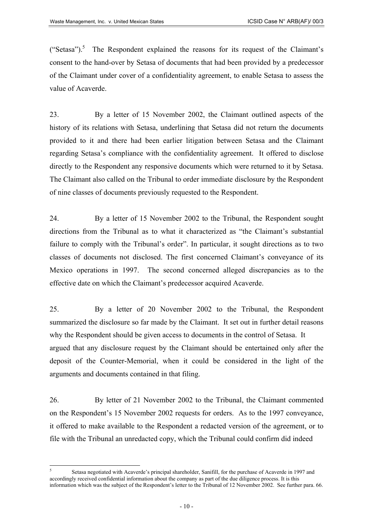("Setasa").<sup>[5](#page-9-0)</sup> The Respondent explained the reasons for its request of the Claimant's consent to the hand-over by Setasa of documents that had been provided by a predecessor of the Claimant under cover of a confidentiality agreement, to enable Setasa to assess the value of Acaverde.

23. By a letter of 15 November 2002, the Claimant outlined aspects of the history of its relations with Setasa, underlining that Setasa did not return the documents provided to it and there had been earlier litigation between Setasa and the Claimant regarding Setasa's compliance with the confidentiality agreement. It offered to disclose directly to the Respondent any responsive documents which were returned to it by Setasa. The Claimant also called on the Tribunal to order immediate disclosure by the Respondent of nine classes of documents previously requested to the Respondent.

24. By a letter of 15 November 2002 to the Tribunal, the Respondent sought directions from the Tribunal as to what it characterized as "the Claimant's substantial failure to comply with the Tribunal's order". In particular, it sought directions as to two classes of documents not disclosed. The first concerned Claimant's conveyance of its Mexico operations in 1997. The second concerned alleged discrepancies as to the effective date on which the Claimant's predecessor acquired Acaverde.

25. By a letter of 20 November 2002 to the Tribunal, the Respondent summarized the disclosure so far made by the Claimant. It set out in further detail reasons why the Respondent should be given access to documents in the control of Setasa. It argued that any disclosure request by the Claimant should be entertained only after the deposit of the Counter-Memorial, when it could be considered in the light of the arguments and documents contained in that filing.

26. By letter of 21 November 2002 to the Tribunal, the Claimant commented on the Respondent's 15 November 2002 requests for orders. As to the 1997 conveyance, it offered to make available to the Respondent a redacted version of the agreement, or to file with the Tribunal an unredacted copy, which the Tribunal could confirm did indeed

<span id="page-9-0"></span><sup>5</sup> Setasa negotiated with Acaverde's principal shareholder, Sanifill, for the purchase of Acaverde in 1997 and accordingly received confidential information about the company as part of the due diligence process. It is this information which was the subject of the Respondent's letter to the Tribunal of 12 November 2002. See further para. 66.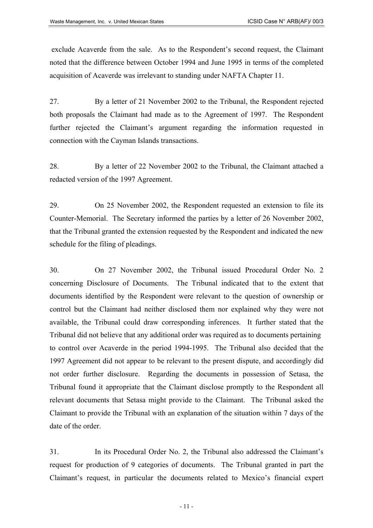exclude Acaverde from the sale. As to the Respondent's second request, the Claimant noted that the difference between October 1994 and June 1995 in terms of the completed acquisition of Acaverde was irrelevant to standing under NAFTA Chapter 11.

27. By a letter of 21 November 2002 to the Tribunal, the Respondent rejected both proposals the Claimant had made as to the Agreement of 1997. The Respondent further rejected the Claimant's argument regarding the information requested in connection with the Cayman Islands transactions.

28. By a letter of 22 November 2002 to the Tribunal, the Claimant attached a redacted version of the 1997 Agreement.

29. On 25 November 2002, the Respondent requested an extension to file its Counter-Memorial. The Secretary informed the parties by a letter of 26 November 2002, that the Tribunal granted the extension requested by the Respondent and indicated the new schedule for the filing of pleadings.

30. On 27 November 2002, the Tribunal issued Procedural Order No. 2 concerning Disclosure of Documents. The Tribunal indicated that to the extent that documents identified by the Respondent were relevant to the question of ownership or control but the Claimant had neither disclosed them nor explained why they were not available, the Tribunal could draw corresponding inferences. It further stated that the Tribunal did not believe that any additional order was required as to documents pertaining to control over Acaverde in the period 1994-1995. The Tribunal also decided that the 1997 Agreement did not appear to be relevant to the present dispute, and accordingly did not order further disclosure. Regarding the documents in possession of Setasa, the Tribunal found it appropriate that the Claimant disclose promptly to the Respondent all relevant documents that Setasa might provide to the Claimant. The Tribunal asked the Claimant to provide the Tribunal with an explanation of the situation within 7 days of the date of the order.

31. In its Procedural Order No. 2, the Tribunal also addressed the Claimant's request for production of 9 categories of documents. The Tribunal granted in part the Claimant's request, in particular the documents related to Mexico's financial expert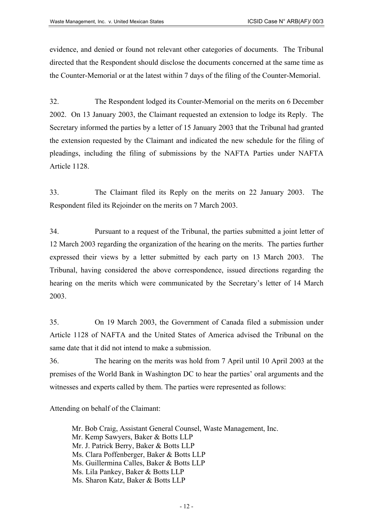evidence, and denied or found not relevant other categories of documents. The Tribunal directed that the Respondent should disclose the documents concerned at the same time as the Counter-Memorial or at the latest within 7 days of the filing of the Counter-Memorial.

32. The Respondent lodged its Counter-Memorial on the merits on 6 December 2002. On 13 January 2003, the Claimant requested an extension to lodge its Reply. The Secretary informed the parties by a letter of 15 January 2003 that the Tribunal had granted the extension requested by the Claimant and indicated the new schedule for the filing of pleadings, including the filing of submissions by the NAFTA Parties under NAFTA Article 1128.

33. The Claimant filed its Reply on the merits on 22 January 2003. The Respondent filed its Rejoinder on the merits on 7 March 2003.

34. Pursuant to a request of the Tribunal, the parties submitted a joint letter of 12 March 2003 regarding the organization of the hearing on the merits. The parties further expressed their views by a letter submitted by each party on 13 March 2003. The Tribunal, having considered the above correspondence, issued directions regarding the hearing on the merits which were communicated by the Secretary's letter of 14 March 2003.

35. On 19 March 2003, the Government of Canada filed a submission under Article 1128 of NAFTA and the United States of America advised the Tribunal on the same date that it did not intend to make a submission.

36. The hearing on the merits was hold from 7 April until 10 April 2003 at the premises of the World Bank in Washington DC to hear the parties' oral arguments and the witnesses and experts called by them. The parties were represented as follows:

Attending on behalf of the Claimant:

- Mr. Bob Craig, Assistant General Counsel, Waste Management, Inc.
- Mr. Kemp Sawyers, Baker & Botts LLP
- Mr. J. Patrick Berry, Baker & Botts LLP
- Ms. Clara Poffenberger, Baker & Botts LLP
- Ms. Guillermina Calles, Baker & Botts LLP
- Ms. Lila Pankey, Baker & Botts LLP
- Ms. Sharon Katz, Baker & Botts LLP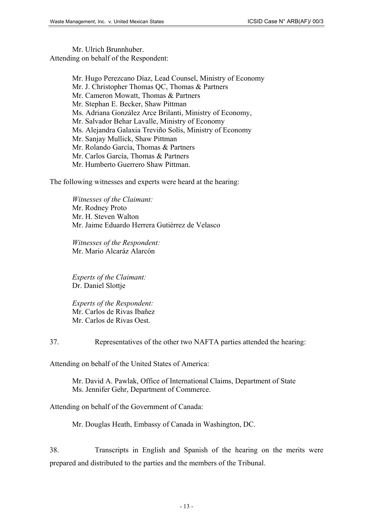Mr. Ulrich Brunnhuber. Attending on behalf of the Respondent:

> Mr. Hugo Perezcano Díaz, Lead Counsel, Ministry of Economy Mr. J. Christopher Thomas QC, Thomas & Partners Mr. Cameron Mowatt, Thomas & Partners Mr. Stephan E. Becker, Shaw Pittman Ms. Adriana González Arce Brilanti, Ministry of Economy, Mr. Salvador Behar Lavalle, Ministry of Economy Ms. Alejandra Galaxia Treviño Solís, Ministry of Economy Mr. Sanjay Mullick, Shaw Pittman Mr. Rolando García, Thomas & Partners Mr. Carlos García, Thomas & Partners Mr. Humberto Guerrero Shaw Pittman.

The following witnesses and experts were heard at the hearing:

*Witnesses of the Claimant:*  Mr. Rodney Proto Mr. H. Steven Walton Mr. Jaime Eduardo Herrera Gutiérrez de Velasco

*Witnesses of the Respondent:* Mr. Mario Alcaráz Alarcón

*Experts of the Claimant:*  Dr. Daniel Slottje

*Experts of the Respondent:*  Mr. Carlos de Rivas Ibañez Mr. Carlos de Rivas Oest.

37. Representatives of the other two NAFTA parties attended the hearing:

Attending on behalf of the United States of America:

Mr. David A. Pawlak, Office of International Claims, Department of State Ms. Jennifer Gehr, Department of Commerce.

Attending on behalf of the Government of Canada:

Mr. Douglas Heath, Embassy of Canada in Washington, DC.

38. Transcripts in English and Spanish of the hearing on the merits were prepared and distributed to the parties and the members of the Tribunal.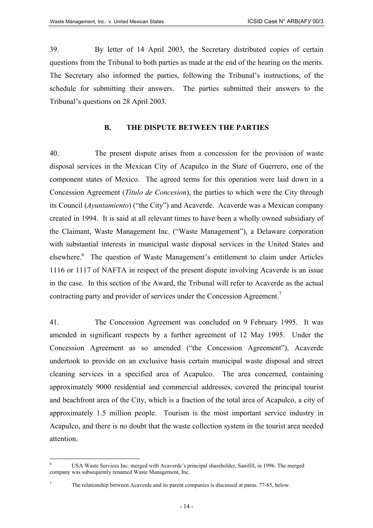39. By letter of 14 April 2003, the Secretary distributed copies of certain questions from the Tribunal to both parties as made at the end of the hearing on the merits. The Secretary also informed the parties, following the Tribunal's instructions, of the schedule for submitting their answers. The parties submitted their answers to the Tribunal's questions on 28 April 2003.

#### **B. THE DISPUTE BETWEEN THE PARTIES**

40. The present dispute arises from a concession for the provision of waste disposal services in the Mexican City of Acapulco in the State of Guerrero, one of the component states of Mexico. The agreed terms for this operation were laid down in a Concession Agreement (*Título de Concesion*), the parties to which were the City through its Council (*Ayuntamiento*) ("the City") and Acaverde. Acaverde was a Mexican company created in 1994. It is said at all relevant times to have been a wholly owned subsidiary of the Claimant, Waste Management Inc. ("Waste Management"), a Delaware corporation with substantial interests in municipal waste disposal services in the United States and elsewhere.<sup>[6](#page-13-0)</sup> The question of Waste Management's entitlement to claim under Articles 1116 or 1117 of NAFTA in respect of the present dispute involving Acaverde is an issue in the case. In this section of the Award, the Tribunal will refer to Acaverde as the actual contracting party and provider of services under the Concession Agreement.<sup>[7](#page-13-1)</sup>

41. The Concession Agreement was concluded on 9 February 1995. It was amended in significant respects by a further agreement of 12 May 1995. Under the Concession Agreement as so amended ("the Concession Agreement"), Acaverde undertook to provide on an exclusive basis certain municipal waste disposal and street cleaning services in a specified area of Acapulco. The area concerned, containing approximately 9000 residential and commercial addresses, covered the principal tourist and beachfront area of the City, which is a fraction of the total area of Acapulco, a city of approximately 1.5 million people. Tourism is the most important service industry in Acapulco, and there is no doubt that the waste collection system in the tourist area needed attention.

<span id="page-13-1"></span>

<span id="page-13-0"></span><sup>6</sup> USA Waste Services Inc. merged with Acaverde's principal shareholder, Sanifill, in 1996. The merged company was subsequently renamed Waste Management, Inc.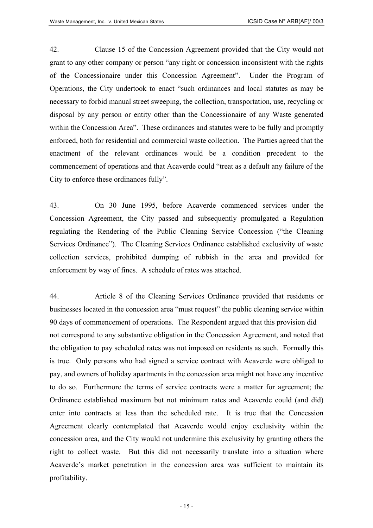42. Clause 15 of the Concession Agreement provided that the City would not grant to any other company or person "any right or concession inconsistent with the rights of the Concessionaire under this Concession Agreement". Under the Program of Operations, the City undertook to enact "such ordinances and local statutes as may be necessary to forbid manual street sweeping, the collection, transportation, use, recycling or disposal by any person or entity other than the Concessionaire of any Waste generated within the Concession Area". These ordinances and statutes were to be fully and promptly enforced, both for residential and commercial waste collection. The Parties agreed that the enactment of the relevant ordinances would be a condition precedent to the commencement of operations and that Acaverde could "treat as a default any failure of the City to enforce these ordinances fully".

43. On 30 June 1995, before Acaverde commenced services under the Concession Agreement, the City passed and subsequently promulgated a Regulation regulating the Rendering of the Public Cleaning Service Concession ("the Cleaning Services Ordinance"). The Cleaning Services Ordinance established exclusivity of waste collection services, prohibited dumping of rubbish in the area and provided for enforcement by way of fines. A schedule of rates was attached.

44. Article 8 of the Cleaning Services Ordinance provided that residents or businesses located in the concession area "must request" the public cleaning service within 90 days of commencement of operations. The Respondent argued that this provision did not correspond to any substantive obligation in the Concession Agreement, and noted that the obligation to pay scheduled rates was not imposed on residents as such. Formally this is true. Only persons who had signed a service contract with Acaverde were obliged to pay, and owners of holiday apartments in the concession area might not have any incentive to do so. Furthermore the terms of service contracts were a matter for agreement; the Ordinance established maximum but not minimum rates and Acaverde could (and did) enter into contracts at less than the scheduled rate. It is true that the Concession Agreement clearly contemplated that Acaverde would enjoy exclusivity within the concession area, and the City would not undermine this exclusivity by granting others the right to collect waste. But this did not necessarily translate into a situation where Acaverde's market penetration in the concession area was sufficient to maintain its profitability.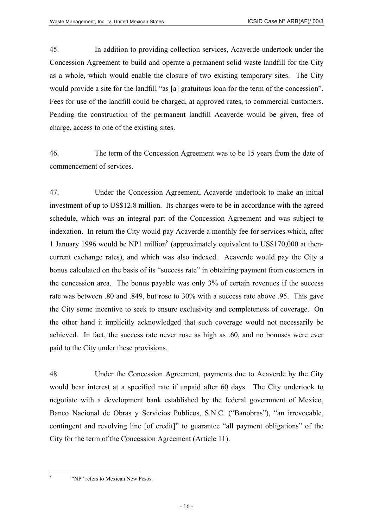45. In addition to providing collection services, Acaverde undertook under the Concession Agreement to build and operate a permanent solid waste landfill for the City as a whole, which would enable the closure of two existing temporary sites. The City would provide a site for the landfill "as [a] gratuitous loan for the term of the concession". Fees for use of the landfill could be charged, at approved rates, to commercial customers. Pending the construction of the permanent landfill Acaverde would be given, free of charge, access to one of the existing sites.

46. The term of the Concession Agreement was to be 15 years from the date of commencement of services.

47. Under the Concession Agreement, Acaverde undertook to make an initial investment of up to US\$12.8 million. Its charges were to be in accordance with the agreed schedule, which was an integral part of the Concession Agreement and was subject to indexation. In return the City would pay Acaverde a monthly fee for services which, after 1January 1996 would be NP1 million<sup>8</sup> (approximately equivalent to US\$170,000 at thencurrent exchange rates), and which was also indexed. Acaverde would pay the City a bonus calculated on the basis of its "success rate" in obtaining payment from customers in the concession area. The bonus payable was only 3% of certain revenues if the success rate was between .80 and .849, but rose to 30% with a success rate above .95. This gave the City some incentive to seek to ensure exclusivity and completeness of coverage. On the other hand it implicitly acknowledged that such coverage would not necessarily be achieved. In fact, the success rate never rose as high as .60, and no bonuses were ever paid to the City under these provisions.

48. Under the Concession Agreement, payments due to Acaverde by the City would bear interest at a specified rate if unpaid after 60 days. The City undertook to negotiate with a development bank established by the federal government of Mexico, Banco Nacional de Obras y Servicios Publicos, S.N.C. ("Banobras"), "an irrevocable, contingent and revolving line [of credit]" to guarantee "all payment obligations" of the City for the term of the Concession Agreement (Article 11).

<span id="page-15-0"></span><sup>&</sup>quot;NP" refers to Mexican New Pesos.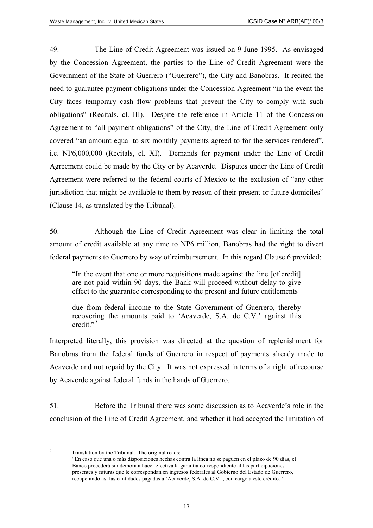49. The Line of Credit Agreement was issued on 9 June 1995. As envisaged by the Concession Agreement, the parties to the Line of Credit Agreement were the Government of the State of Guerrero ("Guerrero"), the City and Banobras. It recited the need to guarantee payment obligations under the Concession Agreement "in the event the City faces temporary cash flow problems that prevent the City to comply with such obligations" (Recitals, cl. III). Despite the reference in Article 11 of the Concession Agreement to "all payment obligations" of the City, the Line of Credit Agreement only covered "an amount equal to six monthly payments agreed to for the services rendered", i.e. NP6,000,000 (Recitals, cl. XI). Demands for payment under the Line of Credit Agreement could be made by the City or by Acaverde. Disputes under the Line of Credit Agreement were referred to the federal courts of Mexico to the exclusion of "any other jurisdiction that might be available to them by reason of their present or future domiciles" (Clause 14, as translated by the Tribunal).

50. Although the Line of Credit Agreement was clear in limiting the total amount of credit available at any time to NP6 million, Banobras had the right to divert federal payments to Guerrero by way of reimbursement. In this regard Clause 6 provided:

"In the event that one or more requisitions made against the line [of credit] are not paid within 90 days, the Bank will proceed without delay to give effect to the guarantee corresponding to the present and future entitlements

due from federal income to the State Government of Guerrero, thereby recovering the amounts paid to 'Acaverde, S.A. de C.V.' against this credit."<sup>[9](#page-16-0)</sup>

Interpreted literally, this provision was directed at the question of replenishment for Banobras from the federal funds of Guerrero in respect of payments already made to Acaverde and not repaid by the City. It was not expressed in terms of a right of recourse by Acaverde against federal funds in the hands of Guerrero.

51. Before the Tribunal there was some discussion as to Acaverde's role in the conclusion of the Line of Credit Agreement, and whether it had accepted the limitation of

<span id="page-16-0"></span> $\overline{Q}$ Translation by the Tribunal. The original reads:

<sup>&</sup>quot;En caso que una o más disposiciones hechas contra la línea no se paguen en el plazo de 90 días, el Banco procederá sin demora a hacer efectiva la garantía correspondiente al las participaciones presentes y futuras que le correspondan en ingresos federales al Gobierno del Estado de Guerrero, recuperando así las cantidades pagadas a 'Acaverde, S.A. de C.V.', con cargo a este crédito."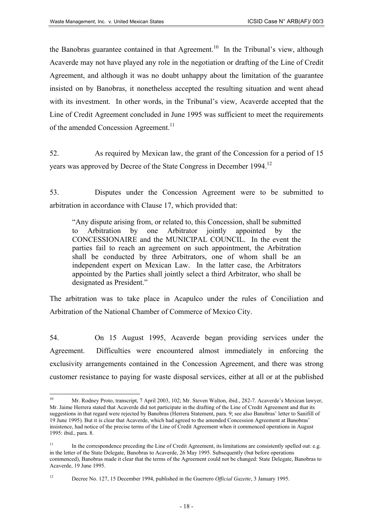the Banobras guarantee contained in that Agreement.<sup>10</sup> In the Tribunal's view, although Acaverde may not have played any role in the negotiation or drafting of the Line of Credit Agreement, and although it was no doubt unhappy about the limitation of the guarantee insisted on by Banobras, it nonetheless accepted the resulting situation and went ahead with its investment. In other words, in the Tribunal's view, Acaverde accepted that the Line of Credit Agreement concluded in June 1995 was sufficient to meet the requirements of the amended Concession Agreement.<sup>[11](#page-17-1)</sup>

52. As required by Mexican law, the grant of the Concession for a period of 15 years was approved by Decree of the State Congress in December 1994.<sup>[12](#page-17-2)</sup>

53. Disputes under the Concession Agreement were to be submitted to arbitration in accordance with Clause 17, which provided that:

"Any dispute arising from, or related to, this Concession, shall be submitted to Arbitration by one Arbitrator jointly appointed by the CONCESSIONAIRE and the MUNICIPAL COUNCIL. In the event the parties fail to reach an agreement on such appointment, the Arbitration shall be conducted by three Arbitrators, one of whom shall be an independent expert on Mexican Law. In the latter case, the Arbitrators appointed by the Parties shall jointly select a third Arbitrator, who shall be designated as President."

The arbitration was to take place in Acapulco under the rules of Conciliation and Arbitration of the National Chamber of Commerce of Mexico City.

54. On 15 August 1995, Acaverde began providing services under the Agreement. Difficulties were encountered almost immediately in enforcing the exclusivity arrangements contained in the Concession Agreement, and there was strong customer resistance to paying for waste disposal services, either at all or at the published

<span id="page-17-0"></span> $10$ <sup>10</sup> Mr. Rodney Proto, transcript, 7 April 2003, 102; Mr. Steven Walton, ibid., 282-7. Acaverde's Mexican lawyer, Mr. Jaime Herrera stated that Acaverde did not participate in the drafting of the Line of Credit Agreement and that its suggestions in that regard were rejected by Banobras (Herrera Statement, para. 9; see also Banobras' letter to Sanifill of 19 June 1995). But it is clear that Acaverde, which had agreed to the amended Concession Agreement at Banobras' insistence, had notice of the precise terms of the Line of Credit Agreement when it commenced operations in August 1995: ibid., para. 8.

<span id="page-17-1"></span><sup>&</sup>lt;sup>11</sup> In the correspondence preceding the Line of Credit Agreement, its limitations are consistently spelled out: e.g. in the letter of the State Delegate, Banobras to Acaverde, 26 May 1995. Subsequently (but before operations commenced), Banobras made it clear that the terms of the Agreement could not be changed: State Delegate, Banobras to Acaverde, 19 June 1995.

<span id="page-17-2"></span><sup>12</sup> Decree No. 127, 15 December 1994, published in the Guerrero *Official Gazette*, 3 January 1995.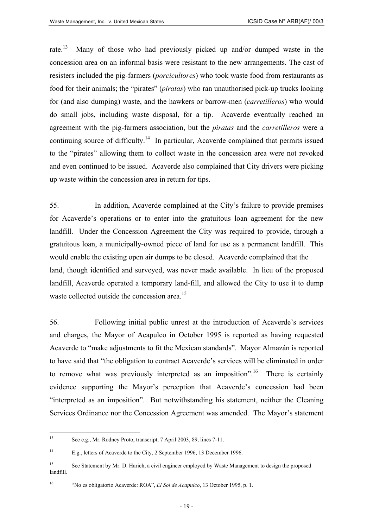rate.<sup>13</sup> Many of those who had previously picked up and/or dumped waste in the concession area on an informal basis were resistant to the new arrangements. The cast of resisters included the pig-farmers (*porcicultores*) who took waste food from restaurants as food for their animals; the "pirates" (*piratas*) who ran unauthorised pick-up trucks looking for (and also dumping) waste, and the hawkers or barrow-men (*carretilleros*) who would do small jobs, including waste disposal, for a tip. Acaverde eventually reached an agreement with the pig-farmers association, but the *piratas* and the *carretilleros* were a continuing source of difficulty.<sup>14</sup> In particular, Acaverde complained that permits issued to the "pirates" allowing them to collect waste in the concession area were not revoked and even continued to be issued. Acaverde also complained that City drivers were picking up waste within the concession area in return for tips.

55. In addition, Acaverde complained at the City's failure to provide premises for Acaverde's operations or to enter into the gratuitous loan agreement for the new landfill. Under the Concession Agreement the City was required to provide, through a gratuitous loan, a municipally-owned piece of land for use as a permanent landfill. This would enable the existing open air dumps to be closed. Acaverde complained that the land, though identified and surveyed, was never made available. In lieu of the proposed landfill, Acaverde operated a temporary land-fill, and allowed the City to use it to dump waste collected outside the concession area.<sup>[15](#page-18-2)</sup>

56. Following initial public unrest at the introduction of Acaverde's services and charges, the Mayor of Acapulco in October 1995 is reported as having requested Acaverde to "make adjustments to fit the Mexican standards". Mayor Almazán is reported to have said that "the obligation to contract Acaverde's services will be eliminated in order to remove what was previously interpreted as an imposition".<sup>16</sup> There is certainly evidence supporting the Mayor's perception that Acaverde's concession had been "interpreted as an imposition". But notwithstanding his statement, neither the Cleaning Services Ordinance nor the Concession Agreement was amended. The Mayor's statement

<span id="page-18-0"></span> $13$ See e.g., Mr. Rodney Proto, transcript, 7 April 2003, 89, lines 7-11.

<span id="page-18-1"></span><sup>14</sup> E.g., letters of Acaverde to the City, 2 September 1996, 13 December 1996.

<span id="page-18-2"></span><sup>&</sup>lt;sup>15</sup> See Statement by Mr. D. Harich, a civil engineer employed by Waste Management to design the proposed landfill.

<span id="page-18-3"></span><sup>16</sup> "No es obligatorio Acaverde: ROA", *El Sol de Acapulco*, 13 October 1995, p. 1.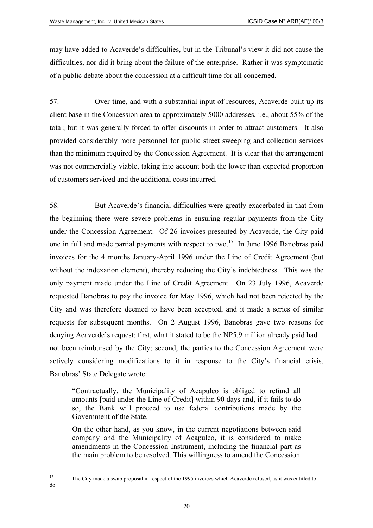may have added to Acaverde's difficulties, but in the Tribunal's view it did not cause the difficulties, nor did it bring about the failure of the enterprise. Rather it was symptomatic of a public debate about the concession at a difficult time for all concerned.

57. Over time, and with a substantial input of resources, Acaverde built up its client base in the Concession area to approximately 5000 addresses, i.e., about 55% of the total; but it was generally forced to offer discounts in order to attract customers. It also provided considerably more personnel for public street sweeping and collection services than the minimum required by the Concession Agreement. It is clear that the arrangement was not commercially viable, taking into account both the lower than expected proportion of customers serviced and the additional costs incurred.

58. But Acaverde's financial difficulties were greatly exacerbated in that from the beginning there were severe problems in ensuring regular payments from the City under the Concession Agreement. Of 26 invoices presented by Acaverde, the City paid one in full and made partial payments with respect to two.<sup>17</sup> In June 1996 Banobras paid invoices for the 4 months January-April 1996 under the Line of Credit Agreement (but without the indexation element), thereby reducing the City's indebtedness. This was the only payment made under the Line of Credit Agreement. On 23 July 1996, Acaverde requested Banobras to pay the invoice for May 1996, which had not been rejected by the City and was therefore deemed to have been accepted, and it made a series of similar requests for subsequent months. On 2 August 1996, Banobras gave two reasons for denying Acaverde's request: first, what it stated to be the NP5.9 million already paid had not been reimbursed by the City; second, the parties to the Concession Agreement were actively considering modifications to it in response to the City's financial crisis. Banobras' State Delegate wrote:

"Contractually, the Municipality of Acapulco is obliged to refund all amounts [paid under the Line of Credit] within 90 days and, if it fails to do so, the Bank will proceed to use federal contributions made by the Government of the State.

On the other hand, as you know, in the current negotiations between said company and the Municipality of Acapulco, it is considered to make amendments in the Concession Instrument, including the financial part as the main problem to be resolved. This willingness to amend the Concession

- 20 -

<span id="page-19-0"></span> $17$ <sup>17</sup> The City made a swap proposal in respect of the 1995 invoices which Acaverde refused, as it was entitled to do.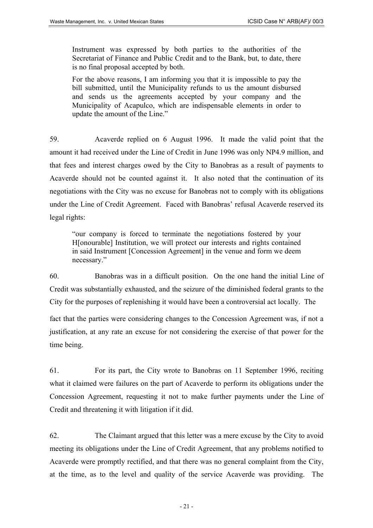Instrument was expressed by both parties to the authorities of the Secretariat of Finance and Public Credit and to the Bank, but, to date, there is no final proposal accepted by both.

For the above reasons, I am informing you that it is impossible to pay the bill submitted, until the Municipality refunds to us the amount disbursed and sends us the agreements accepted by your company and the Municipality of Acapulco, which are indispensable elements in order to update the amount of the Line."

59. Acaverde replied on 6 August 1996. It made the valid point that the amount it had received under the Line of Credit in June 1996 was only NP4.9 million, and that fees and interest charges owed by the City to Banobras as a result of payments to Acaverde should not be counted against it. It also noted that the continuation of its negotiations with the City was no excuse for Banobras not to comply with its obligations under the Line of Credit Agreement. Faced with Banobras' refusal Acaverde reserved its legal rights:

"our company is forced to terminate the negotiations fostered by your H[onourable] Institution, we will protect our interests and rights contained in said Instrument [Concession Agreement] in the venue and form we deem necessary."

60. Banobras was in a difficult position. On the one hand the initial Line of Credit was substantially exhausted, and the seizure of the diminished federal grants to the City for the purposes of replenishing it would have been a controversial act locally. The fact that the parties were considering changes to the Concession Agreement was, if not a justification, at any rate an excuse for not considering the exercise of that power for the time being.

61. For its part, the City wrote to Banobras on 11 September 1996, reciting what it claimed were failures on the part of Acaverde to perform its obligations under the Concession Agreement, requesting it not to make further payments under the Line of Credit and threatening it with litigation if it did.

62. The Claimant argued that this letter was a mere excuse by the City to avoid meeting its obligations under the Line of Credit Agreement, that any problems notified to Acaverde were promptly rectified, and that there was no general complaint from the City, at the time, as to the level and quality of the service Acaverde was providing. The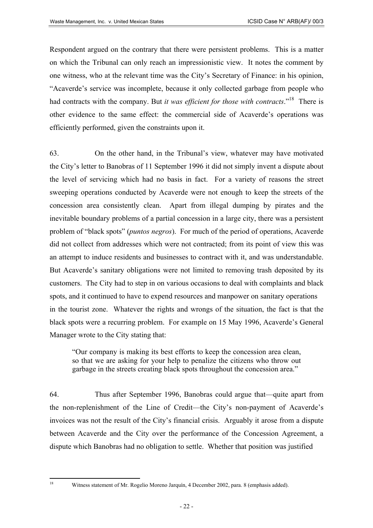Respondent argued on the contrary that there were persistent problems. This is a matter on which the Tribunal can only reach an impressionistic view. It notes the comment by one witness, who at the relevant time was the City's Secretary of Finance: in his opinion, "Acaverde's service was incomplete, because it only collected garbage from people who had contracts with the company. But *it was efficient for those with contracts*.["18](#page-21-0) There is other evidence to the same effect: the commercial side of Acaverde's operations was efficiently performed, given the constraints upon it.

63. On the other hand, in the Tribunal's view, whatever may have motivated the City's letter to Banobras of 11 September 1996 it did not simply invent a dispute about the level of servicing which had no basis in fact. For a variety of reasons the street sweeping operations conducted by Acaverde were not enough to keep the streets of the concession area consistently clean. Apart from illegal dumping by pirates and the inevitable boundary problems of a partial concession in a large city, there was a persistent problem of "black spots" (*puntos negros*). For much of the period of operations, Acaverde did not collect from addresses which were not contracted; from its point of view this was an attempt to induce residents and businesses to contract with it, and was understandable. But Acaverde's sanitary obligations were not limited to removing trash deposited by its customers. The City had to step in on various occasions to deal with complaints and black spots, and it continued to have to expend resources and manpower on sanitary operations in the tourist zone. Whatever the rights and wrongs of the situation, the fact is that the black spots were a recurring problem. For example on 15 May 1996, Acaverde's General Manager wrote to the City stating that:

"Our company is making its best efforts to keep the concession area clean, so that we are asking for your help to penalize the citizens who throw out garbage in the streets creating black spots throughout the concession area."

64. Thus after September 1996, Banobras could argue that—quite apart from the non-replenishment of the Line of Credit—the City's non-payment of Acaverde's invoices was not the result of the City's financial crisis. Arguably it arose from a dispute between Acaverde and the City over the performance of the Concession Agreement, a dispute which Banobras had no obligation to settle. Whether that position was justified

<span id="page-21-0"></span>18

Witness statement of Mr. Rogelio Moreno Jarquín, 4 December 2002, para. 8 (emphasis added).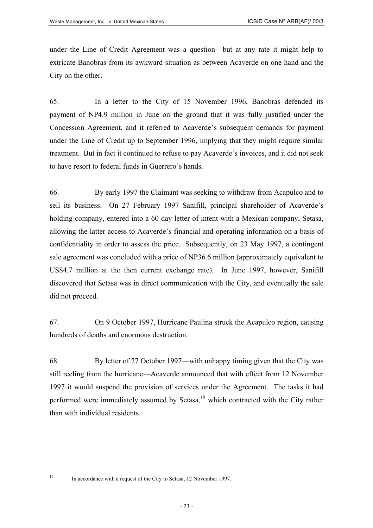under the Line of Credit Agreement was a question—but at any rate it might help to extricate Banobras from its awkward situation as between Acaverde on one hand and the City on the other.

65. In a letter to the City of 15 November 1996, Banobras defended its payment of NP4.9 million in June on the ground that it was fully justified under the Concession Agreement, and it referred to Acaverde's subsequent demands for payment under the Line of Credit up to September 1996, implying that they might require similar treatment. But in fact it continued to refuse to pay Acaverde's invoices, and it did not seek to have resort to federal funds in Guerrero's hands.

66. By early 1997 the Claimant was seeking to withdraw from Acapulco and to sell its business. On 27 February 1997 Sanifill, principal shareholder of Acaverde's holding company, entered into a 60 day letter of intent with a Mexican company, Setasa, allowing the latter access to Acaverde's financial and operating information on a basis of confidentiality in order to assess the price. Subsequently, on 23 May 1997, a contingent sale agreement was concluded with a price of NP36.6 million (approximately equivalent to US\$4.7 million at the then current exchange rate). In June 1997, however, Sanifill discovered that Setasa was in direct communication with the City, and eventually the sale did not proceed.

67. On 9 October 1997, Hurricane Paulina struck the Acapulco region, causing hundreds of deaths and enormous destruction.

68. By letter of 27 October 1997—with unhappy timing given that the City was still reeling from the hurricane—Acaverde announced that with effect from 12 November 1997 it would suspend the provision of services under the Agreement. The tasks it had performed were immediately assumed by Setasa, $19$  which contracted with the City rather than with individual residents.

<span id="page-22-0"></span> $19$ 

<sup>19</sup> In accordance with a request of the City to Setasa, 12 November 1997.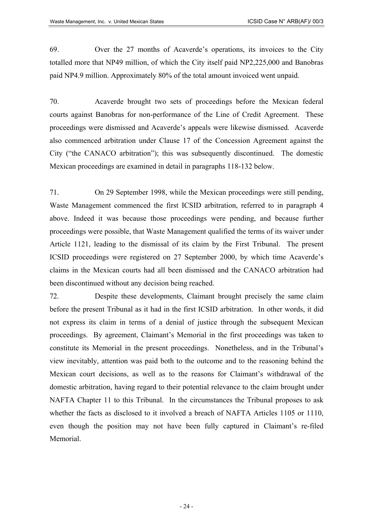69. Over the 27 months of Acaverde's operations, its invoices to the City totalled more that NP49 million, of which the City itself paid NP2,225,000 and Banobras paid NP4.9 million. Approximately 80% of the total amount invoiced went unpaid.

70. Acaverde brought two sets of proceedings before the Mexican federal courts against Banobras for non-performance of the Line of Credit Agreement. These proceedings were dismissed and Acaverde's appeals were likewise dismissed. Acaverde also commenced arbitration under Clause 17 of the Concession Agreement against the City ("the CANACO arbitration"); this was subsequently discontinued. The domestic Mexican proceedings are examined in detail in paragraphs 118-132 below.

71. On 29 September 1998, while the Mexican proceedings were still pending, Waste Management commenced the first ICSID arbitration, referred to in paragraph 4 above. Indeed it was because those proceedings were pending, and because further proceedings were possible, that Waste Management qualified the terms of its waiver under Article 1121, leading to the dismissal of its claim by the First Tribunal. The present ICSID proceedings were registered on 27 September 2000, by which time Acaverde's claims in the Mexican courts had all been dismissed and the CANACO arbitration had been discontinued without any decision being reached.

72. Despite these developments, Claimant brought precisely the same claim before the present Tribunal as it had in the first ICSID arbitration. In other words, it did not express its claim in terms of a denial of justice through the subsequent Mexican proceedings. By agreement, Claimant's Memorial in the first proceedings was taken to constitute its Memorial in the present proceedings. Nonetheless, and in the Tribunal's view inevitably, attention was paid both to the outcome and to the reasoning behind the Mexican court decisions, as well as to the reasons for Claimant's withdrawal of the domestic arbitration, having regard to their potential relevance to the claim brought under NAFTA Chapter 11 to this Tribunal. In the circumstances the Tribunal proposes to ask whether the facts as disclosed to it involved a breach of NAFTA Articles 1105 or 1110, even though the position may not have been fully captured in Claimant's re-filed Memorial.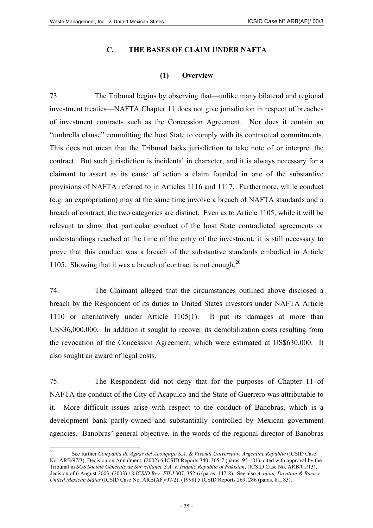### **C. THE BASES OF CLAIM UNDER NAFTA**

#### **(1) Overview**

73. The Tribunal begins by observing that—unlike many bilateral and regional investment treaties—NAFTA Chapter 11 does not give jurisdiction in respect of breaches of investment contracts such as the Concession Agreement. Nor does it contain an "umbrella clause" committing the host State to comply with its contractual commitments. This does not mean that the Tribunal lacks jurisdiction to take note of or interpret the contract. But such jurisdiction is incidental in character, and it is always necessary for a claimant to assert as its cause of action a claim founded in one of the substantive provisions of NAFTA referred to in Articles 1116 and 1117. Furthermore, while conduct (e.g. an expropriation) may at the same time involve a breach of NAFTA standards and a breach of contract, the two categories are distinct. Even as to Article 1105, while it will be relevant to show that particular conduct of the host State contradicted agreements or understandings reached at the time of the entry of the investment, it is still necessary to prove that this conduct was a breach of the substantive standards embodied in Article 1105. Showing that it was a breach of contract is not enough. $^{20}$  $^{20}$  $^{20}$ 

74. The Claimant alleged that the circumstances outlined above disclosed a breach by the Respondent of its duties to United States investors under NAFTA Article 1110 or alternatively under Article 1105(1). It put its damages at more than US\$36,000,000. In addition it sought to recover its demobilization costs resulting from the revocation of the Concession Agreement, which were estimated at US\$630,000. It also sought an award of legal costs.

75. The Respondent did not deny that for the purposes of Chapter 11 of NAFTA the conduct of the City of Acapulco and the State of Guerrero was attributable to it. More difficult issues arise with respect to the conduct of Banobras, which is a development bank partly-owned and substantially controlled by Mexican government agencies. Banobras' general objective, in the words of the regional director of Banobras

<span id="page-24-0"></span><sup>20</sup> 20 See further *Compañía de Aguas del Aconquija S.A. & Vivendi Universal v. Argentine Republic* (ICSID Case No. ARB/97/3), Decision on Annulment, (2002) 6 ICSID Reports 340, 365-7 (paras. 95-101), cited with approval by the Tribunal in *SGS Société Générale de Surveillance S.A. v. Islamic Republic of Pakistan*, (ICSID Case No. ARB/01/13), decision of 6 August 2003, (2003) 18 *ICSID Rev.-FILJ* 307, 352-6 (paras. 147-8). See also *Azinian, Davitian & Baca v. United Mexican States* (ICSID Case No. ARB(AF)/97/2), (1998) 5 ICSID Reports 269, 286 (paras. 81, 83).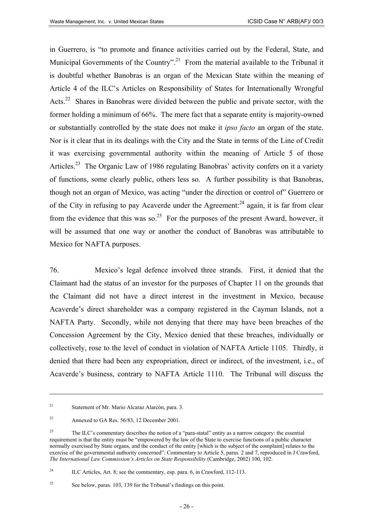in Guerrero, is "to promote and finance activities carried out by the Federal, State, and Municipal Governments of the Country".<sup>21</sup> From the material available to the Tribunal it is doubtful whether Banobras is an organ of the Mexican State within the meaning of Article 4 of the ILC's Articles on Responsibility of States for Internationally Wrongful Acts.<sup>22</sup> Shares in Banobras were divided between the public and private sector, with the former holding a minimum of 66%. The mere fact that a separate entity is majority-owned or substantially controlled by the state does not make it *ipso facto* an organ of the state. Nor is it clear that in its dealings with the City and the State in terms of the Line of Credit it was exercising governmental authority within the meaning of Article 5 of those Articles.<sup>23</sup> The Organic Law of 1986 regulating Banobras' activity confers on it a variety of functions, some clearly public, others less so. A further possibility is that Banobras, though not an organ of Mexico, was acting "under the direction or control of" Guerrero or of the City in refusing to pay Acaverde under the Agreement:<sup>24</sup> again, it is far from clear from the evidence that this was so.<sup>25</sup> For the purposes of the present Award, however, it will be assumed that one way or another the conduct of Banobras was attributable to Mexico for NAFTA purposes.

76. Mexico's legal defence involved three strands. First, it denied that the Claimant had the status of an investor for the purposes of Chapter 11 on the grounds that the Claimant did not have a direct interest in the investment in Mexico, because Acaverde's direct shareholder was a company registered in the Cayman Islands, not a NAFTA Party. Secondly, while not denying that there may have been breaches of the Concession Agreement by the City, Mexico denied that these breaches, individually or collectively, rose to the level of conduct in violation of NAFTA Article 1105. Thirdly, it denied that there had been any expropriation, direct or indirect, of the investment, i.e., of Acaverde's business, contrary to NAFTA Article 1110. The Tribunal will discuss the

<span id="page-25-0"></span><sup>21</sup> Statement of Mr. Mario Alcaraz Alarcón, para. 3.

<span id="page-25-1"></span><sup>22</sup> Annexed to GA Res. 56/83, 12 December 2001.

<span id="page-25-2"></span><sup>23</sup> The ILC's commentary describes the notion of a "para-statal" entity as a narrow category: the essential requirement is that the entity must be "empowered by the law of the State to exercise functions of a public character normally exercised by State organs, and the conduct of the entity [which is the subject of the complaint] relates to the exercise of the governmental authority concerned": Commentary to Article 5, paras. 2 and 7, reproduced in J Crawford, *The International Law Commission's Articles on State Responsibility* (Cambridge, 2002) 100, 102.

<span id="page-25-3"></span><sup>&</sup>lt;sup>24</sup> ILC Articles, Art. 8; see the commentary, esp. para. 6, in Crawford, 112-113.

<span id="page-25-4"></span><sup>25</sup> See below, paras. 103, 139 for the Tribunal's findings on this point.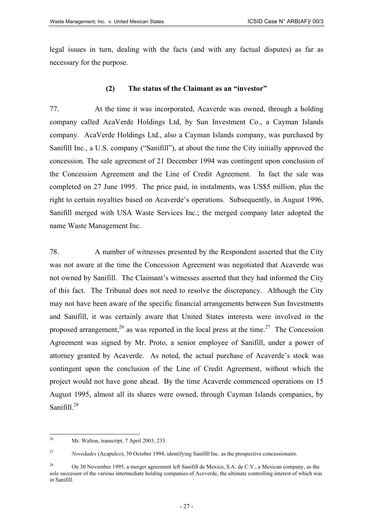legal issues in turn, dealing with the facts (and with any factual disputes) as far as necessary for the purpose.

### **(2) The status of the Claimant as an "investor"**

77. At the time it was incorporated, Acaverde was owned, through a holding company called AcaVerde Holdings Ltd, by Sun Investment Co., a Cayman Islands company. AcaVerde Holdings Ltd., also a Cayman Islands company, was purchased by Sanifill Inc., a U.S. company ("Sanifill"), at about the time the City initially approved the concession. The sale agreement of 21 December 1994 was contingent upon conclusion of the Concession Agreement and the Line of Credit Agreement. In fact the sale was completed on 27 June 1995. The price paid, in instalments, was US\$5 million, plus the right to certain royalties based on Acaverde's operations. Subsequently, in August 1996, Sanifill merged with USA Waste Services Inc.; the merged company later adopted the name Waste Management Inc.

78. A number of witnesses presented by the Respondent asserted that the City was not aware at the time the Concession Agreement was negotiated that Acaverde was not owned by Sanifill. The Claimant's witnesses asserted that they had informed the City of this fact. The Tribunal does not need to resolve the discrepancy. Although the City may not have been aware of the specific financial arrangements between Sun Investments and Sanifill, it was certainly aware that United States interests were involved in the proposed arrangement,  $2^6$  as was reported in the local press at the time.<sup>27</sup> The Concession Agreement was signed by Mr. Proto, a senior employee of Sanifill, under a power of attorney granted by Acaverde. As noted, the actual purchase of Acaverde's stock was contingent upon the conclusion of the Line of Credit Agreement, without which the project would not have gone ahead. By the time Acaverde commenced operations on 15 August 1995, almost all its shares were owned, through Cayman Islands companies, by Sanifill. $^{28}$  $^{28}$  $^{28}$ 

<span id="page-26-0"></span> $26\overline{)}$ <sup>26</sup> Mr. Walton, transcript, 7 April 2003, 233.

<span id="page-26-1"></span><sup>27</sup> *Novedades* (Acapulco), 30 October 1994, identifying Sanifill Inc. as the prospective concessionaire.

<span id="page-26-2"></span><sup>&</sup>lt;sup>28</sup> On 30 November 1995, a merger agreement left Sanifill de Mexico, S.A. de C.V., a Mexican company, as the sole successor of the various intermediate holding companies of Aceverde, the ultimate controlling interest of which was in Sanifill.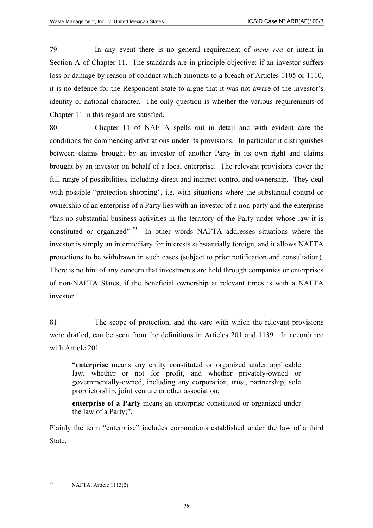79. In any event there is no general requirement of *mens rea* or intent in Section A of Chapter 11. The standards are in principle objective: if an investor suffers loss or damage by reason of conduct which amounts to a breach of Articles 1105 or 1110, it is no defence for the Respondent State to argue that it was not aware of the investor's identity or national character. The only question is whether the various requirements of Chapter 11 in this regard are satisfied.

80. Chapter 11 of NAFTA spells out in detail and with evident care the conditions for commencing arbitrations under its provisions. In particular it distinguishes between claims brought by an investor of another Party in its own right and claims brought by an investor on behalf of a local enterprise. The relevant provisions cover the full range of possibilities, including direct and indirect control and ownership. They deal with possible "protection shopping", i.e. with situations where the substantial control or ownership of an enterprise of a Party lies with an investor of a non-party and the enterprise "has no substantial business activities in the territory of the Party under whose law it is constituted or organized".<sup>29</sup> In other words NAFTA addresses situations where the investor is simply an intermediary for interests substantially foreign, and it allows NAFTA protections to be withdrawn in such cases (subject to prior notification and consultation). There is no hint of any concern that investments are held through companies or enterprises of non-NAFTA States, if the beneficial ownership at relevant times is with a NAFTA investor.

81. The scope of protection, and the care with which the relevant provisions were drafted, can be seen from the definitions in Articles 201 and 1139. In accordance with Article 201:

"**enterprise** means any entity constituted or organized under applicable law, whether or not for profit, and whether privately-owned or governmentally-owned, including any corporation, trust, partnership, sole proprietorship, joint venture or other association;

**enterprise of a Party** means an enterprise constituted or organized under the law of a Party;".

Plainly the term "enterprise" includes corporations established under the law of a third State.

<span id="page-27-0"></span><sup>&</sup>lt;sup>29</sup> NAFTA, Article 1113(2).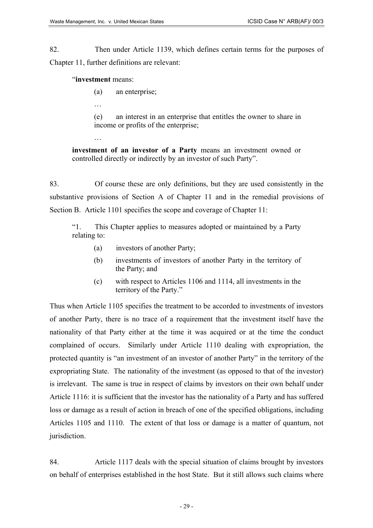82. Then under Article 1139, which defines certain terms for the purposes of Chapter 11, further definitions are relevant:

#### "**investment** means:

- (a) an enterprise;
- …

…

(e) an interest in an enterprise that entitles the owner to share in income or profits of the enterprise;

**investment of an investor of a Party** means an investment owned or controlled directly or indirectly by an investor of such Party".

83. Of course these are only definitions, but they are used consistently in the substantive provisions of Section A of Chapter 11 and in the remedial provisions of Section B. Article 1101 specifies the scope and coverage of Chapter 11:

"1. This Chapter applies to measures adopted or maintained by a Party relating to:

- (a) investors of another Party;
- (b) investments of investors of another Party in the territory of the Party; and
- (c) with respect to Articles 1106 and 1114, all investments in the territory of the Party."

Thus when Article 1105 specifies the treatment to be accorded to investments of investors of another Party, there is no trace of a requirement that the investment itself have the nationality of that Party either at the time it was acquired or at the time the conduct complained of occurs. Similarly under Article 1110 dealing with expropriation, the protected quantity is "an investment of an investor of another Party" in the territory of the expropriating State. The nationality of the investment (as opposed to that of the investor) is irrelevant. The same is true in respect of claims by investors on their own behalf under Article 1116: it is sufficient that the investor has the nationality of a Party and has suffered loss or damage as a result of action in breach of one of the specified obligations, including Articles 1105 and 1110. The extent of that loss or damage is a matter of quantum, not jurisdiction.

84. Article 1117 deals with the special situation of claims brought by investors on behalf of enterprises established in the host State. But it still allows such claims where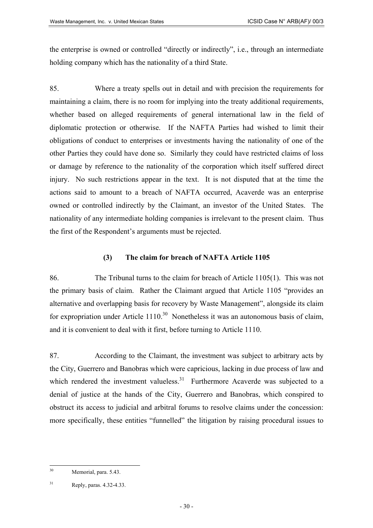the enterprise is owned or controlled "directly or indirectly", i.e., through an intermediate holding company which has the nationality of a third State.

85. Where a treaty spells out in detail and with precision the requirements for maintaining a claim, there is no room for implying into the treaty additional requirements, whether based on alleged requirements of general international law in the field of diplomatic protection or otherwise. If the NAFTA Parties had wished to limit their obligations of conduct to enterprises or investments having the nationality of one of the other Parties they could have done so. Similarly they could have restricted claims of loss or damage by reference to the nationality of the corporation which itself suffered direct injury. No such restrictions appear in the text. It is not disputed that at the time the actions said to amount to a breach of NAFTA occurred, Acaverde was an enterprise owned or controlled indirectly by the Claimant, an investor of the United States. The nationality of any intermediate holding companies is irrelevant to the present claim. Thus the first of the Respondent's arguments must be rejected.

### **(3) The claim for breach of NAFTA Article 1105**

86. The Tribunal turns to the claim for breach of Article 1105(1). This was not the primary basis of claim. Rather the Claimant argued that Article 1105 "provides an alternative and overlapping basis for recovery by Waste Management", alongside its claim for expropriation under Article  $1110^{30}$  Nonetheless it was an autonomous basis of claim, and it is convenient to deal with it first, before turning to Article 1110.

87. According to the Claimant, the investment was subject to arbitrary acts by the City, Guerrero and Banobras which were capricious, lacking in due process of law and which rendered the investment valueless.<sup>31</sup> Furthermore Acaverde was subjected to a denial of justice at the hands of the City, Guerrero and Banobras, which conspired to obstruct its access to judicial and arbitral forums to resolve claims under the concession: more specifically, these entities "funnelled" the litigation by raising procedural issues to

<span id="page-29-0"></span> $30^{\circ}$ Memorial, para. 5.43.

<span id="page-29-1"></span><sup>31</sup> Reply, paras. 4.32-4.33.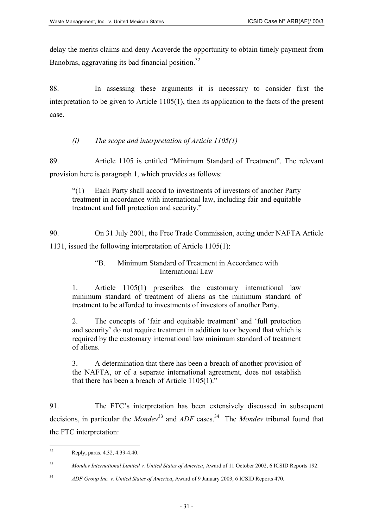delay the merits claims and deny Acaverde the opportunity to obtain timely payment from Banobras, aggravating its bad financial position.<sup>[32](#page-30-0)</sup>

88. In assessing these arguments it is necessary to consider first the interpretation to be given to Article 1105(1), then its application to the facts of the present case.

# *(i) The scope and interpretation of Article 1105(1)*

89. Article 1105 is entitled "Minimum Standard of Treatment". The relevant provision here is paragraph 1, which provides as follows:

"(1) Each Party shall accord to investments of investors of another Party treatment in accordance with international law, including fair and equitable treatment and full protection and security."

90. On 31 July 2001, the Free Trade Commission, acting under NAFTA Article 1131, issued the following interpretation of Article 1105(1):

### "B. Minimum Standard of Treatment in Accordance with International Law

1. Article 1105(1) prescribes the customary international law minimum standard of treatment of aliens as the minimum standard of treatment to be afforded to investments of investors of another Party.

2. The concepts of 'fair and equitable treatment' and 'full protection and security' do not require treatment in addition to or beyond that which is required by the customary international law minimum standard of treatment of aliens.

3. A determination that there has been a breach of another provision of the NAFTA, or of a separate international agreement, does not establish that there has been a breach of Article 1105(1)."

91. The FTC's interpretation has been extensively discussed in subsequent decisions, in particular the *Mondev*<sup>33</sup> and *ADF* cases.<sup>34</sup> The *Mondev* tribunal found that the FTC interpretation:

<span id="page-30-0"></span> $32$ Reply, paras. 4.32, 4.39-4.40.

<span id="page-30-1"></span><sup>33</sup> *Mondev International Limited v. United States of America*, Award of 11 October 2002, 6 ICSID Reports 192.

<span id="page-30-2"></span><sup>34</sup> *ADF Group Inc. v. United States of America*, Award of 9 January 2003, 6 ICSID Reports 470.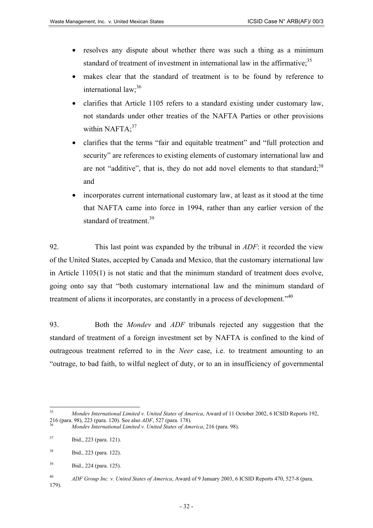- resolves any dispute about whether there was such a thing as a minimum standard of treatment of investment in international law in the affirmative:<sup>[35](#page-31-0)</sup>
- makes clear that the standard of treatment is to be found by reference to international  $law$ ;<sup>[36](#page-31-1)</sup>
- clarifies that Article 1105 refers to a standard existing under customary law, not standards under other treaties of the NAFTA Parties or other provisions within NAFT $A$ ;<sup>[37](#page-31-2)</sup>
- clarifies that the terms "fair and equitable treatment" and "full protection and security" are references to existing elements of customary international law and are not "additive", that is, they do not add novel elements to that standard; $38$ and
- incorporates current international customary law, at least as it stood at the time that NAFTA came into force in 1994, rather than any earlier version of the standard of treatment.<sup>[39](#page-31-4)</sup>

92. This last point was expanded by the tribunal in *ADF*: it recorded the view of the United States, accepted by Canada and Mexico, that the customary international law in Article 1105(1) is not static and that the minimum standard of treatment does evolve, going onto say that "both customary international law and the minimum standard of treatment of aliens it incorporates, are constantly in a process of development."<sup>[40](#page-31-5)</sup>

93. Both the *Mondev* and *ADF* tribunals rejected any suggestion that the standard of treatment of a foreign investment set by NAFTA is confined to the kind of outrageous treatment referred to in the *Neer* case, i.e. to treatment amounting to an "outrage, to bad faith, to wilful neglect of duty, or to an in insufficiency of governmental

<span id="page-31-0"></span><sup>35</sup> <sup>35</sup> *Mondev International Limited v. United States of America*, Award of 11 October 2002, 6 ICSID Reports 192, 216 (para. 98), 223 (para. 120). See also *ADF*, 527 (para. 178). 36 *Mondev International Limited v. United States of America*, 216 (para. 98).

<span id="page-31-1"></span>

<span id="page-31-2"></span><sup>37</sup> Ibid., 223 (para. 121).

<span id="page-31-3"></span><sup>38</sup> Ibid., 223 (para. 122).

<span id="page-31-4"></span><sup>39</sup> Ibid., 224 (para. 125).

<span id="page-31-5"></span><sup>40</sup> *ADF Group Inc. v. United States of America*, Award of 9 January 2003, 6 ICSID Reports 470, 527-8 (para.

<sup>179).</sup>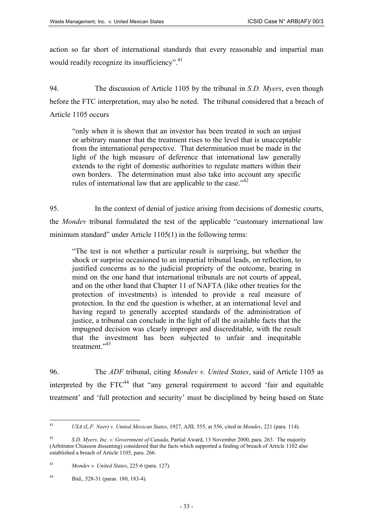action so far short of international standards that every reasonable and impartial man would readily recognize its insufficiency".<sup>[41](#page-32-0)</sup>

94. The discussion of Article 1105 by the tribunal in *S.D. Myers*, even though before the FTC interpretation, may also be noted. The tribunal considered that a breach of Article 1105 occurs

"only when it is shown that an investor has been treated in such an unjust or arbitrary manner that the treatment rises to the level that is unacceptable from the international perspective. That determination must be made in the light of the high measure of deference that international law generally extends to the right of domestic authorities to regulate matters within their own borders. The determination must also take into account any specific rules of international law that are applicable to the case."<sup>[42](#page-32-1)</sup>

95. In the context of denial of justice arising from decisions of domestic courts, the *Mondev* tribunal formulated the test of the applicable "customary international law minimum standard" under Article 1105(1) in the following terms:

"The test is not whether a particular result is surprising, but whether the shock or surprise occasioned to an impartial tribunal leads, on reflection, to justified concerns as to the judicial propriety of the outcome, bearing in mind on the one hand that international tribunals are not courts of appeal, and on the other hand that Chapter 11 of NAFTA (like other treaties for the protection of investments) is intended to provide a real measure of protection. In the end the question is whether, at an international level and having regard to generally accepted standards of the administration of justice, a tribunal can conclude in the light of all the available facts that the impugned decision was clearly improper and discreditable, with the result that the investment has been subjected to unfair and inequitable treatment."<sup>[43](#page-32-2)</sup>

96. The *ADF* tribunal, citing *Mondev v. United States*, said of Article 1105 as interpreted by the  $FTC<sup>44</sup>$  that "any general requirement to accord 'fair and equitable treatment' and 'full protection and security' must be disciplined by being based on State

<span id="page-32-0"></span> $41$ 41 *USA (L.F. Neer) v. United Mexican States*, 1927, AJIL 555, at 556, cited in *Mondev*, 221 (para. 114).

<span id="page-32-1"></span><sup>42</sup> *S.D. Myers, Inc. v. Government of Canada*, Partial Award, 13 November 2000, para. 263. The majority (Arbitrator Chiasson dissenting) considered that the facts which supported a finding of breach of Article 1102 also established a breach of Article 1105, para. 266.

<span id="page-32-2"></span><sup>43</sup> *Mondev v. United States*, 225-6 (para. 127).

<span id="page-32-3"></span><sup>44</sup> Ibid., 528-31 (paras. 180, 183-4).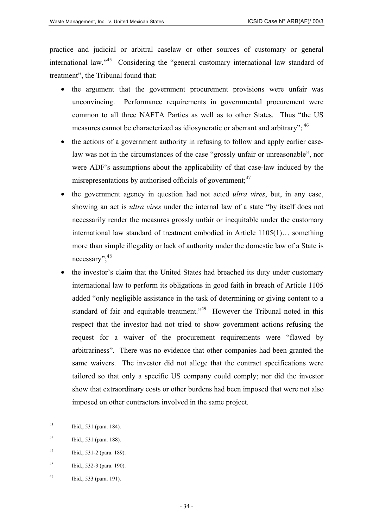practice and judicial or arbitral caselaw or other sources of customary or general international law.<sup>"45</sup> Considering the "general customary international law standard of treatment", the Tribunal found that:

- the argument that the government procurement provisions were unfair was unconvincing. Performance requirements in governmental procurement were common to all three NAFTA Parties as well as to other States. Thus "the US measures cannot be characterized as idiosyncratic or aberrant and arbitrary"; <sup>[46](#page-33-1)</sup>
- the actions of a government authority in refusing to follow and apply earlier caselaw was not in the circumstances of the case "grossly unfair or unreasonable", nor were ADF's assumptions about the applicability of that case-law induced by the misrepresentations by authorised officials of government;  $47$
- the government agency in question had not acted *ultra vires*, but, in any case, showing an act is *ultra vires* under the internal law of a state "by itself does not necessarily render the measures grossly unfair or inequitable under the customary international law standard of treatment embodied in Article 1105(1)… something more than simple illegality or lack of authority under the domestic law of a State is necessary"; <sup>[48](#page-33-3)</sup>
- the investor's claim that the United States had breached its duty under customary international law to perform its obligations in good faith in breach of Article 1105 added "only negligible assistance in the task of determining or giving content to a standard of fair and equitable treatment."<sup>49</sup> However the Tribunal noted in this respect that the investor had not tried to show government actions refusing the request for a waiver of the procurement requirements were "flawed by arbitrariness". There was no evidence that other companies had been granted the same waivers. The investor did not allege that the contract specifications were tailored so that only a specific US company could comply; nor did the investor show that extraordinary costs or other burdens had been imposed that were not also imposed on other contractors involved in the same project.

<span id="page-33-0"></span> $45$ Ibid., 531 (para. 184).

<span id="page-33-1"></span><sup>46</sup> Ibid., 531 (para. 188).

<span id="page-33-2"></span><sup>47</sup> Ibid., 531-2 (para. 189).

<span id="page-33-3"></span><sup>48</sup> Ibid., 532-3 (para. 190).

<span id="page-33-4"></span><sup>49</sup> Ibid., 533 (para. 191).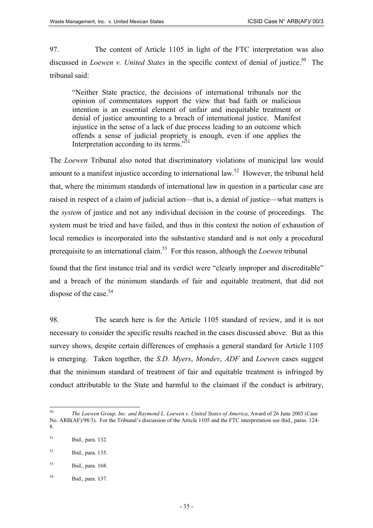97. The content of Article 1105 in light of the FTC interpretation was also discussed in *Loewen v. United States* in the specific context of denial of justice.<sup>50</sup> The tribunal said:

"Neither State practice, the decisions of international tribunals nor the opinion of commentators support the view that bad faith or malicious intention is an essential element of unfair and inequitable treatment or denial of justice amounting to a breach of international justice. Manifest injustice in the sense of a lack of due process leading to an outcome which offends a sense of judicial propriety is enough, even if one applies the Interpretation according to its terms."[51](#page-34-1)

The *Loewen* Tribunal also noted that discriminatory violations of municipal law would amount to a manifest injustice according to international law.<sup>52</sup> However, the tribunal held that, where the minimum standards of international law in question in a particular case are raised in respect of a claim of judicial action—that is, a denial of justice—what matters is the *system* of justice and not any individual decision in the course of proceedings. The system must be tried and have failed, and thus in this context the notion of exhaustion of local remedies is incorporated into the substantive standard and is not only a procedural prerequisite to an international claim. [53](#page-34-3) For this reason, although the *Loewen* tribunal

found that the first instance trial and its verdict were "clearly improper and discreditable" and a breach of the minimum standards of fair and equitable treatment, that did not dispose of the case.<sup>[54](#page-34-4)</sup>

98. The search here is for the Article 1105 standard of review, and it is not necessary to consider the specific results reached in the cases discussed above. But as this survey shows, despite certain differences of emphasis a general standard for Article 1105 is emerging. Taken together, the *S.D. Myers*, *Mondev*, *ADF* and *Loewen* cases suggest that the minimum standard of treatment of fair and equitable treatment is infringed by conduct attributable to the State and harmful to the claimant if the conduct is arbitrary,

<span id="page-34-0"></span><sup>50</sup> <sup>50</sup> *The Loewen Group, Inc. and Raymond L. Loewen v. United States of America*, Award of 26 June 2003 (Case No. ARB(AF)/98/3). For the Tribunal's discussion of the Article 1105 and the FTC interpretation see ibid., paras. 124- 8.

<span id="page-34-1"></span><sup>51</sup> Ibid., para. 132.

<span id="page-34-2"></span><sup>52</sup> Ibid., para. 135.

<span id="page-34-3"></span><sup>53</sup> Ibid., para. 168.

<span id="page-34-4"></span><sup>54</sup> Ibid., para. 137.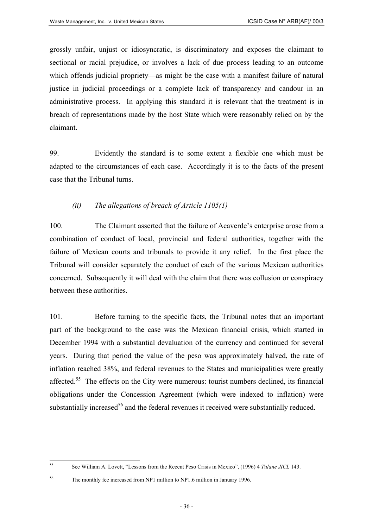grossly unfair, unjust or idiosyncratic, is discriminatory and exposes the claimant to sectional or racial prejudice, or involves a lack of due process leading to an outcome which offends judicial propriety—as might be the case with a manifest failure of natural justice in judicial proceedings or a complete lack of transparency and candour in an administrative process. In applying this standard it is relevant that the treatment is in breach of representations made by the host State which were reasonably relied on by the claimant.

99. Evidently the standard is to some extent a flexible one which must be adapted to the circumstances of each case. Accordingly it is to the facts of the present case that the Tribunal turns.

#### *(ii) The allegations of breach of Article 1105(1)*

100. The Claimant asserted that the failure of Acaverde's enterprise arose from a combination of conduct of local, provincial and federal authorities, together with the failure of Mexican courts and tribunals to provide it any relief. In the first place the Tribunal will consider separately the conduct of each of the various Mexican authorities concerned. Subsequently it will deal with the claim that there was collusion or conspiracy between these authorities.

101. Before turning to the specific facts, the Tribunal notes that an important part of the background to the case was the Mexican financial crisis, which started in December 1994 with a substantial devaluation of the currency and continued for several years. During that period the value of the peso was approximately halved, the rate of inflation reached 38%, and federal revenues to the States and municipalities were greatly affected.<sup>55</sup> The effects on the City were numerous: tourist numbers declined, its financial obligations under the Concession Agreement (which were indexed to inflation) were substantially increased<sup>56</sup> and the federal revenues it received were substantially reduced.

<span id="page-35-0"></span> $55$ <sup>55</sup> See William A. Lovett, "Lessons from the Recent Peso Crisis in Mexico", (1996) 4 *Tulane JICL* 143.

<span id="page-35-1"></span><sup>&</sup>lt;sup>56</sup> The monthly fee increased from NP1 million to NP1.6 million in January 1996.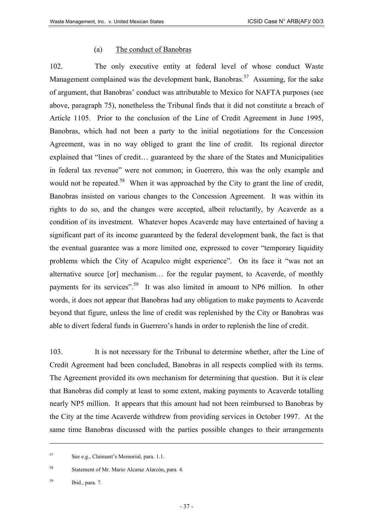#### (a) The conduct of Banobras

102. The only executive entity at federal level of whose conduct Waste Management complained was the development bank, Banobras.<sup>57</sup> Assuming, for the sake of argument, that Banobras' conduct was attributable to Mexico for NAFTA purposes (see above, paragraph 75), nonetheless the Tribunal finds that it did not constitute a breach of Article 1105. Prior to the conclusion of the Line of Credit Agreement in June 1995, Banobras, which had not been a party to the initial negotiations for the Concession Agreement, was in no way obliged to grant the line of credit. Its regional director explained that "lines of credit… guaranteed by the share of the States and Municipalities in federal tax revenue" were not common; in Guerrero, this was the only example and would not be repeated.<sup>58</sup> When it was approached by the City to grant the line of credit, Banobras insisted on various changes to the Concession Agreement. It was within its rights to do so, and the changes were accepted, albeit reluctantly, by Acaverde as a condition of its investment. Whatever hopes Acaverde may have entertained of having a significant part of its income guaranteed by the federal development bank, the fact is that the eventual guarantee was a more limited one, expressed to cover "temporary liquidity problems which the City of Acapulco might experience". On its face it "was not an alternative source [or] mechanism… for the regular payment, to Acaverde, of monthly payments for its services".<sup>59</sup> It was also limited in amount to NP6 million. In other words, it does not appear that Banobras had any obligation to make payments to Acaverde beyond that figure, unless the line of credit was replenished by the City or Banobras was able to divert federal funds in Guerrero's hands in order to replenish the line of credit.

103. It is not necessary for the Tribunal to determine whether, after the Line of Credit Agreement had been concluded, Banobras in all respects complied with its terms. The Agreement provided its own mechanism for determining that question. But it is clear that Banobras did comply at least to some extent, making payments to Acaverde totalling nearly NP5 million. It appears that this amount had not been reimbursed to Banobras by the City at the time Acaverde withdrew from providing services in October 1997. At the same time Banobras discussed with the parties possible changes to their arrangements

<span id="page-36-0"></span><sup>57</sup> See e.g., Claimant's Memorial, para. 1.1.

<span id="page-36-1"></span><sup>58</sup> Statement of Mr. Mario Alcaraz Alarcón, para. 4.

<span id="page-36-2"></span><sup>59</sup> Ibid., para. 7.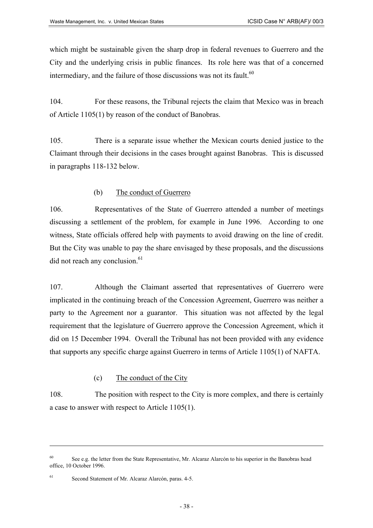which might be sustainable given the sharp drop in federal revenues to Guerrero and the City and the underlying crisis in public finances. Its role here was that of a concerned intermediary, and the failure of those discussions was not its fault.<sup>[60](#page-37-0)</sup>

104. For these reasons, the Tribunal rejects the claim that Mexico was in breach of Article 1105(1) by reason of the conduct of Banobras.

105. There is a separate issue whether the Mexican courts denied justice to the Claimant through their decisions in the cases brought against Banobras. This is discussed in paragraphs 118-132 below.

# (b) The conduct of Guerrero

106. Representatives of the State of Guerrero attended a number of meetings discussing a settlement of the problem, for example in June 1996. According to one witness, State officials offered help with payments to avoid drawing on the line of credit. But the City was unable to pay the share envisaged by these proposals, and the discussions  $\rm{did}$  not reach any conclusion.<sup>[61](#page-37-1)</sup>

107. Although the Claimant asserted that representatives of Guerrero were implicated in the continuing breach of the Concession Agreement, Guerrero was neither a party to the Agreement nor a guarantor. This situation was not affected by the legal requirement that the legislature of Guerrero approve the Concession Agreement, which it did on 15 December 1994. Overall the Tribunal has not been provided with any evidence that supports any specific charge against Guerrero in terms of Article 1105(1) of NAFTA.

(c) The conduct of the City

108. The position with respect to the City is more complex, and there is certainly a case to answer with respect to Article 1105(1).

<span id="page-37-0"></span><sup>&</sup>lt;sup>60</sup> See e.g. the letter from the State Representative, Mr. Alcaraz Alarcón to his superior in the Banobras head office, 10 October 1996.

<span id="page-37-1"></span><sup>61</sup> Second Statement of Mr. Alcaraz Alarcón, paras. 4-5.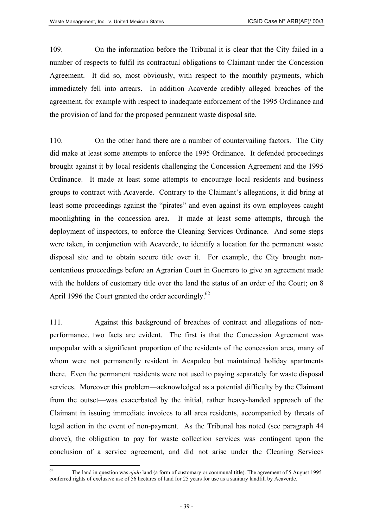109. On the information before the Tribunal it is clear that the City failed in a number of respects to fulfil its contractual obligations to Claimant under the Concession Agreement. It did so, most obviously, with respect to the monthly payments, which immediately fell into arrears. In addition Acaverde credibly alleged breaches of the agreement, for example with respect to inadequate enforcement of the 1995 Ordinance and the provision of land for the proposed permanent waste disposal site.

110. On the other hand there are a number of countervailing factors. The City did make at least some attempts to enforce the 1995 Ordinance. It defended proceedings brought against it by local residents challenging the Concession Agreement and the 1995 Ordinance. It made at least some attempts to encourage local residents and business groups to contract with Acaverde. Contrary to the Claimant's allegations, it did bring at least some proceedings against the "pirates" and even against its own employees caught moonlighting in the concession area. It made at least some attempts, through the deployment of inspectors, to enforce the Cleaning Services Ordinance. And some steps were taken, in conjunction with Acaverde, to identify a location for the permanent waste disposal site and to obtain secure title over it. For example, the City brought noncontentious proceedings before an Agrarian Court in Guerrero to give an agreement made with the holders of customary title over the land the status of an order of the Court; on 8 April 1996 the Court granted the order accordingly.<sup>[62](#page-38-0)</sup>

111. Against this background of breaches of contract and allegations of nonperformance, two facts are evident. The first is that the Concession Agreement was unpopular with a significant proportion of the residents of the concession area, many of whom were not permanently resident in Acapulco but maintained holiday apartments there. Even the permanent residents were not used to paying separately for waste disposal services. Moreover this problem—acknowledged as a potential difficulty by the Claimant from the outset—was exacerbated by the initial, rather heavy-handed approach of the Claimant in issuing immediate invoices to all area residents, accompanied by threats of legal action in the event of non-payment. As the Tribunal has noted (see paragraph 44 above), the obligation to pay for waste collection services was contingent upon the conclusion of a service agreement, and did not arise under the Cleaning Services

<span id="page-38-0"></span> $62$ <sup>62</sup> The land in question was *ejido* land (a form of customary or communal title). The agreement of 5 August 1995 conferred rights of exclusive use of 56 hectares of land for 25 years for use as a sanitary landfill by Acaverde.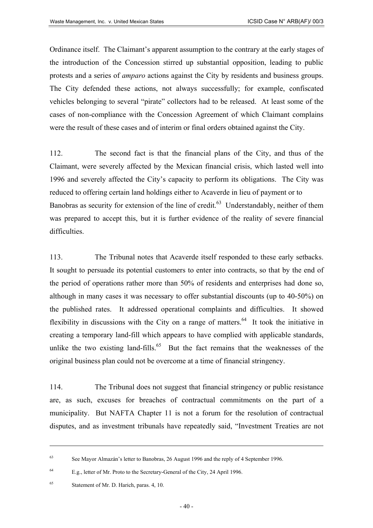Ordinance itself. The Claimant's apparent assumption to the contrary at the early stages of the introduction of the Concession stirred up substantial opposition, leading to public protests and a series of *amparo* actions against the City by residents and business groups. The City defended these actions, not always successfully; for example, confiscated vehicles belonging to several "pirate" collectors had to be released. At least some of the cases of non-compliance with the Concession Agreement of which Claimant complains were the result of these cases and of interim or final orders obtained against the City.

112. The second fact is that the financial plans of the City, and thus of the Claimant, were severely affected by the Mexican financial crisis, which lasted well into 1996 and severely affected the City's capacity to perform its obligations. The City was reduced to offering certain land holdings either to Acaverde in lieu of payment or to Banobras as security for extension of the line of credit.<sup>63</sup> Understandably, neither of them was prepared to accept this, but it is further evidence of the reality of severe financial difficulties.

113. The Tribunal notes that Acaverde itself responded to these early setbacks. It sought to persuade its potential customers to enter into contracts, so that by the end of the period of operations rather more than 50% of residents and enterprises had done so, although in many cases it was necessary to offer substantial discounts (up to 40-50%) on the published rates. It addressed operational complaints and difficulties. It showed flexibility in discussions with the City on a range of matters.<sup>64</sup> It took the initiative in creating a temporary land-fill which appears to have complied with applicable standards, unlike the two existing land-fills.<sup>65</sup> But the fact remains that the weaknesses of the original business plan could not be overcome at a time of financial stringency.

114. The Tribunal does not suggest that financial stringency or public resistance are, as such, excuses for breaches of contractual commitments on the part of a municipality. But NAFTA Chapter 11 is not a forum for the resolution of contractual disputes, and as investment tribunals have repeatedly said, "Investment Treaties are not

<span id="page-39-1"></span><sup>64</sup> E.g., letter of Mr. Proto to the Secretary-General of the City, 24 April 1996.

<span id="page-39-0"></span><sup>63</sup> See Mayor Almazán's letter to Banobras, 26 August 1996 and the reply of 4 September 1996.

<span id="page-39-2"></span><sup>65</sup> Statement of Mr. D. Harich, paras. 4, 10.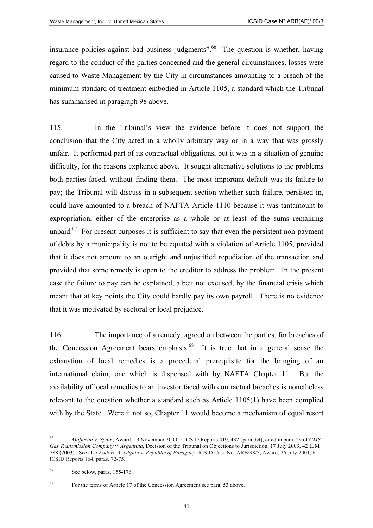insurance policies against bad business judgments".<sup>66</sup> The question is whether, having regard to the conduct of the parties concerned and the general circumstances, losses were caused to Waste Management by the City in circumstances amounting to a breach of the minimum standard of treatment embodied in Article 1105, a standard which the Tribunal has summarised in paragraph 98 above.

115. In the Tribunal's view the evidence before it does not support the conclusion that the City acted in a wholly arbitrary way or in a way that was grossly unfair. It performed part of its contractual obligations, but it was in a situation of genuine difficulty, for the reasons explained above. It sought alternative solutions to the problems both parties faced, without finding them. The most important default was its failure to pay; the Tribunal will discuss in a subsequent section whether such failure, persisted in, could have amounted to a breach of NAFTA Article 1110 because it was tantamount to expropriation, either of the enterprise as a whole or at least of the sums remaining unpaid.<sup>67</sup> For present purposes it is sufficient to say that even the persistent non-payment of debts by a municipality is not to be equated with a violation of Article 1105, provided that it does not amount to an outright and unjustified repudiation of the transaction and provided that some remedy is open to the creditor to address the problem. In the present case the failure to pay can be explained, albeit not excused, by the financial crisis which meant that at key points the City could hardly pay its own payroll. There is no evidence that it was motivated by sectoral or local prejudice.

116. The importance of a remedy, agreed on between the parties, for breaches of the Concession Agreement bears emphasis.<sup>68</sup> It is true that in a general sense the exhaustion of local remedies is a procedural prerequisite for the bringing of an international claim, one which is dispensed with by NAFTA Chapter 11. But the availability of local remedies to an investor faced with contractual breaches is nonetheless relevant to the question whether a standard such as Article 1105(1) have been complied with by the State. Were it not so, Chapter 11 would become a mechanism of equal resort

<span id="page-40-0"></span><sup>66</sup> <sup>66</sup> *Maffezini v. Spain*, Award, 13 November 2000, 5 ICSID Reports 419, 432 (para. 64), cited in para. 29 of *CMS Gas Transmission Company v. Argentina*, Decision of the Tribunal on Objections to Jurisdiction, 17 July 2003, 42 ILM 788 (2003). See also *Eudoro A. Olguín v. Republic of Paraguay*, ICSID Case No. ARB/98/5, Award, 26 July 2001, 6 ICSID Reports 164, paras. 72-75.

<span id="page-40-1"></span><sup>67</sup> See below, paras. 155-176.

<span id="page-40-2"></span><sup>68</sup> For the terms of Article 17 of the Concession Agreement see para. 53 above.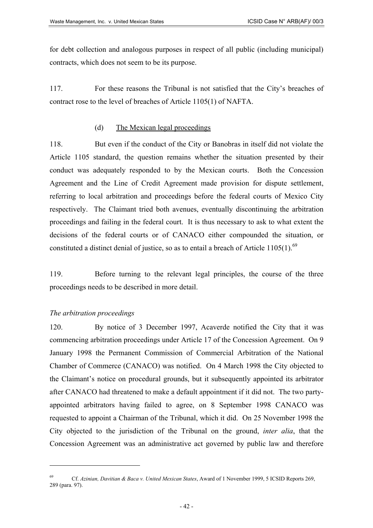for debt collection and analogous purposes in respect of all public (including municipal) contracts, which does not seem to be its purpose.

117. For these reasons the Tribunal is not satisfied that the City's breaches of contract rose to the level of breaches of Article 1105(1) of NAFTA.

#### (d) The Mexican legal proceedings

118. But even if the conduct of the City or Banobras in itself did not violate the Article 1105 standard, the question remains whether the situation presented by their conduct was adequately responded to by the Mexican courts. Both the Concession Agreement and the Line of Credit Agreement made provision for dispute settlement, referring to local arbitration and proceedings before the federal courts of Mexico City respectively. The Claimant tried both avenues, eventually discontinuing the arbitration proceedings and failing in the federal court. It is thus necessary to ask to what extent the decisions of the federal courts or of CANACO either compounded the situation, or constituted a distinct denial of justice, so as to entail a breach of Article  $1105(1)$ .<sup>[69](#page-41-0)</sup>

119. Before turning to the relevant legal principles, the course of the three proceedings needs to be described in more detail.

#### *The arbitration proceedings*

 $\overline{a}$ 

120. By notice of 3 December 1997, Acaverde notified the City that it was commencing arbitration proceedings under Article 17 of the Concession Agreement. On 9 January 1998 the Permanent Commission of Commercial Arbitration of the National Chamber of Commerce (CANACO) was notified. On 4 March 1998 the City objected to the Claimant's notice on procedural grounds, but it subsequently appointed its arbitrator after CANACO had threatened to make a default appointment if it did not. The two partyappointed arbitrators having failed to agree, on 8 September 1998 CANACO was requested to appoint a Chairman of the Tribunal, which it did. On 25 November 1998 the City objected to the jurisdiction of the Tribunal on the ground, *inter alia*, that the Concession Agreement was an administrative act governed by public law and therefore

<span id="page-41-0"></span><sup>69</sup> Cf. *Azinian, Davitian & Baca v. United Mexican States*, Award of 1 November 1999, 5 ICSID Reports 269, 289 (para. 97).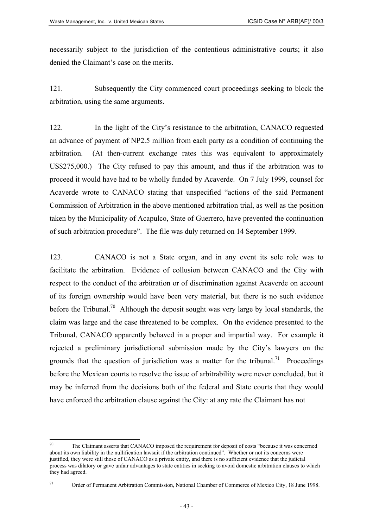necessarily subject to the jurisdiction of the contentious administrative courts; it also denied the Claimant's case on the merits.

121. Subsequently the City commenced court proceedings seeking to block the arbitration, using the same arguments.

122. In the light of the City's resistance to the arbitration, CANACO requested an advance of payment of NP2.5 million from each party as a condition of continuing the arbitration. (At then-current exchange rates this was equivalent to approximately US\$275,000.) The City refused to pay this amount, and thus if the arbitration was to proceed it would have had to be wholly funded by Acaverde. On 7 July 1999, counsel for Acaverde wrote to CANACO stating that unspecified "actions of the said Permanent Commission of Arbitration in the above mentioned arbitration trial, as well as the position taken by the Municipality of Acapulco, State of Guerrero, have prevented the continuation of such arbitration procedure". The file was duly returned on 14 September 1999.

123. CANACO is not a State organ, and in any event its sole role was to facilitate the arbitration. Evidence of collusion between CANACO and the City with respect to the conduct of the arbitration or of discrimination against Acaverde on account of its foreign ownership would have been very material, but there is no such evidence before the Tribunal.<sup>70</sup> Although the deposit sought was very large by local standards, the claim was large and the case threatened to be complex. On the evidence presented to the Tribunal, CANACO apparently behaved in a proper and impartial way. For example it rejected a preliminary jurisdictional submission made by the City's lawyers on the grounds that the question of jurisdiction was a matter for the tribunal.<sup>71</sup> Proceedings before the Mexican courts to resolve the issue of arbitrability were never concluded, but it may be inferred from the decisions both of the federal and State courts that they would have enforced the arbitration clause against the City: at any rate the Claimant has not

<span id="page-42-1"></span><sup>71</sup> Order of Permanent Arbitration Commission, National Chamber of Commerce of Mexico City, 18 June 1998.

<span id="page-42-0"></span><sup>70</sup> The Claimant asserts that CANACO imposed the requirement for deposit of costs "because it was concerned about its own liability in the nullification lawsuit if the arbitration continued". Whether or not its concerns were justified, they were still those of CANACO as a private entity, and there is no sufficient evidence that the judicial process was dilatory or gave unfair advantages to state entities in seeking to avoid domestic arbitration clauses to which they had agreed.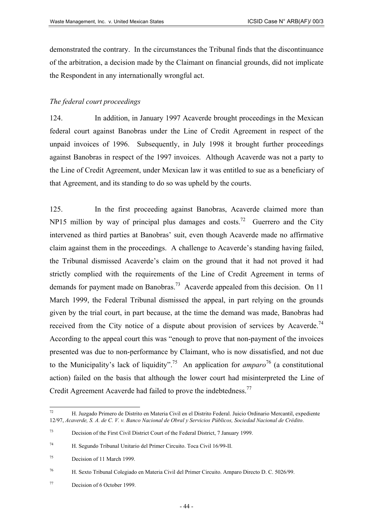demonstrated the contrary. In the circumstances the Tribunal finds that the discontinuance of the arbitration, a decision made by the Claimant on financial grounds, did not implicate the Respondent in any internationally wrongful act.

#### *The federal court proceedings*

124. In addition, in January 1997 Acaverde brought proceedings in the Mexican federal court against Banobras under the Line of Credit Agreement in respect of the unpaid invoices of 1996. Subsequently, in July 1998 it brought further proceedings against Banobras in respect of the 1997 invoices. Although Acaverde was not a party to the Line of Credit Agreement, under Mexican law it was entitled to sue as a beneficiary of that Agreement, and its standing to do so was upheld by the courts.

125. In the first proceeding against Banobras, Acaverde claimed more than NP15 million by way of principal plus damages and costs.<sup>72</sup> Guerrero and the City intervened as third parties at Banobras' suit, even though Acaverde made no affirmative claim against them in the proceedings. A challenge to Acaverde's standing having failed, the Tribunal dismissed Acaverde's claim on the ground that it had not proved it had strictly complied with the requirements of the Line of Credit Agreement in terms of demands for payment made on Banobras.<sup>73</sup> Acaverde appealed from this decision. On 11 March 1999, the Federal Tribunal dismissed the appeal, in part relying on the grounds given by the trial court, in part because, at the time the demand was made, Banobras had received from the City notice of a dispute about provision of services by Acaverde.<sup>74</sup> According to the appeal court this was "enough to prove that non-payment of the invoices presented was due to non-performance by Claimant, who is now dissatisfied, and not due to the Municipality's lack of liquidity".<sup>75</sup> An application for *amparo*<sup>76</sup> (a constitutional action) failed on the basis that although the lower court had misinterpreted the Line of Credit Agreement Acaverde had failed to prove the indebtedness.<sup>[77](#page-43-5)</sup>

<span id="page-43-4"></span><sup>76</sup> H. Sexto Tribunal Colegiado en Materia Civil del Primer Circuito. Amparo Directo D. C. 5026/99.

<span id="page-43-0"></span> $72\,$ <sup>72</sup> H. Juzgado Primero de Distrito en Materia Civil en el Distrito Federal. Juicio Ordinario Mercantil, expediente 12/97, *Acaverde, S. A. de C. V. v. Banco Nacional de Obral y Servicios Públicos, Sociedad Nacional de Crédito*.

<span id="page-43-1"></span><sup>73</sup> Decision of the First Civil District Court of the Federal District, 7 January 1999.

<span id="page-43-2"></span><sup>74</sup> H. Segundo Tribunal Unitario del Primer Circuito. Toca Civil 16/99-II.

<span id="page-43-3"></span><sup>75</sup> Decision of 11 March 1999.

<span id="page-43-5"></span><sup>77</sup> Decision of 6 October 1999.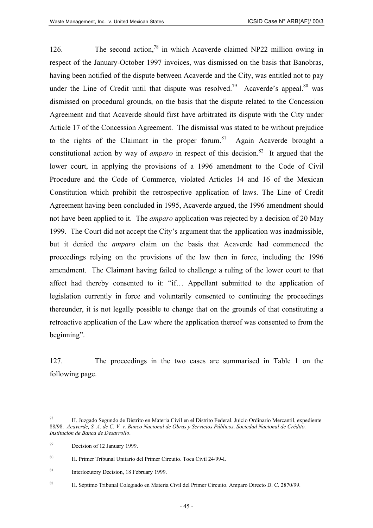126. The second action,<sup>78</sup> in which Acaverde claimed NP22 million owing in respect of the January-October 1997 invoices, was dismissed on the basis that Banobras, having been notified of the dispute between Acaverde and the City, was entitled not to pay under the Line of Credit until that dispute was resolved.<sup>79</sup> Acaverde's appeal.<sup>80</sup> was dismissed on procedural grounds, on the basis that the dispute related to the Concession Agreement and that Acaverde should first have arbitrated its dispute with the City under Article 17 of the Concession Agreement. The dismissal was stated to be without prejudice to the rights of the Claimant in the proper forum.<sup>81</sup> Again Acaverde brought a constitutional action by way of *amparo* in respect of this decision.<sup>82</sup> It argued that the lower court, in applying the provisions of a 1996 amendment to the Code of Civil Procedure and the Code of Commerce, violated Articles 14 and 16 of the Mexican Constitution which prohibit the retrospective application of laws. The Line of Credit Agreement having been concluded in 1995, Acaverde argued, the 1996 amendment should not have been applied to it. The *amparo* application was rejected by a decision of 20 May 1999. The Court did not accept the City's argument that the application was inadmissible, but it denied the *amparo* claim on the basis that Acaverde had commenced the proceedings relying on the provisions of the law then in force, including the 1996 amendment. The Claimant having failed to challenge a ruling of the lower court to that affect had thereby consented to it: "if… Appellant submitted to the application of legislation currently in force and voluntarily consented to continuing the proceedings thereunder, it is not legally possible to change that on the grounds of that constituting a retroactive application of the Law where the application thereof was consented to from the beginning".

127. The proceedings in the two cases are summarised in Table 1 on the following page.

<span id="page-44-0"></span><sup>78</sup> H. Juzgado Segundo de Distrito en Materia Civil en el Distrito Federal. Juicio Ordinario Mercantil, expediente 88/98. *Acaverde, S. A. de C. V. v. Banco Nacional de Obras y Servicios Públicos, Sociedad Nacional de Crédito. Institución de Banca de Desarrollo*.

<span id="page-44-1"></span><sup>79</sup> Decision of 12 January 1999.

<span id="page-44-2"></span><sup>80</sup> H. Primer Tribunal Unitario del Primer Circuito. Toca Civil 24/99-I.

<span id="page-44-3"></span><sup>81</sup> Interlocutory Decision, 18 February 1999.

<span id="page-44-4"></span><sup>82</sup> H. Séptimo Tribunal Colegiado en Materia Civil del Primer Circuito. Amparo Directo D. C. 2870/99.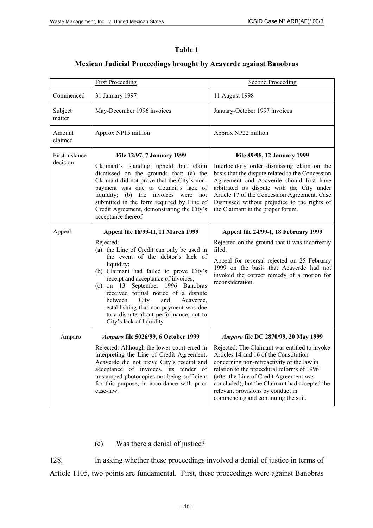| anı<br>ĸ |  |
|----------|--|
|----------|--|

# **Mexican Judicial Proceedings brought by Acaverde against Banobras**

|                            | <b>First Proceeding</b>                                                                                                                                                                                                                                                                                                                                                                                                                                                  | <b>Second Proceeding</b>                                                                                                                                                                                                                                                                                                                                                                           |
|----------------------------|--------------------------------------------------------------------------------------------------------------------------------------------------------------------------------------------------------------------------------------------------------------------------------------------------------------------------------------------------------------------------------------------------------------------------------------------------------------------------|----------------------------------------------------------------------------------------------------------------------------------------------------------------------------------------------------------------------------------------------------------------------------------------------------------------------------------------------------------------------------------------------------|
| Commenced                  | 31 January 1997                                                                                                                                                                                                                                                                                                                                                                                                                                                          | 11 August 1998                                                                                                                                                                                                                                                                                                                                                                                     |
| Subject<br>matter          | May-December 1996 invoices                                                                                                                                                                                                                                                                                                                                                                                                                                               | January-October 1997 invoices                                                                                                                                                                                                                                                                                                                                                                      |
| Amount<br>claimed          | Approx NP15 million                                                                                                                                                                                                                                                                                                                                                                                                                                                      | Approx NP22 million                                                                                                                                                                                                                                                                                                                                                                                |
| First instance<br>decision | File 12/97, 7 January 1999<br>Claimant's standing upheld but claim<br>dismissed on the grounds that: (a) the<br>Claimant did not prove that the City's non-<br>payment was due to Council's lack of<br>liquidity; (b) the invoices were not<br>submitted in the form required by Line of<br>Credit Agreement, demonstrating the City's<br>acceptance thereof.                                                                                                            | File 89/98, 12 January 1999<br>Interlocutory order dismissing claim on the<br>basis that the dispute related to the Concession<br>Agreement and Acaverde should first have<br>arbitrated its dispute with the City under<br>Article 17 of the Concession Agreement. Case<br>Dismissed without prejudice to the rights of<br>the Claimant in the proper forum.                                      |
| Appeal                     | Appeal file 16/99-II, 11 March 1999<br>Rejected:<br>(a) the Line of Credit can only be used in<br>the event of the debtor's lack of<br>liquidity;<br>(b) Claimant had failed to prove City's<br>receipt and acceptance of invoices;<br>on 13 September 1996 Banobras<br>(c)<br>received formal notice of a dispute<br>Acaverde,<br>City<br>and<br>between<br>establishing that non-payment was due<br>to a dispute about performance, not to<br>City's lack of liquidity | Appeal file 24/99-I, 18 February 1999<br>Rejected on the ground that it was incorrectly<br>filed.<br>Appeal for reversal rejected on 25 February<br>1999 on the basis that Acaverde had not<br>invoked the correct remedy of a motion for<br>reconsideration.                                                                                                                                      |
| Amparo                     | Amparo file 5026/99, 6 October 1999<br>Rejected: Although the lower court erred in<br>interpreting the Line of Credit Agreement,<br>Acaverde did not prove City's receipt and<br>acceptance of invoices, its tender of<br>unstamped photocopies not being sufficient<br>for this purpose, in accordance with prior<br>case-law.                                                                                                                                          | Amparo file DC 2870/99, 20 May 1999<br>Rejected: The Claimant was entitled to invoke<br>Articles 14 and 16 of the Constitution<br>concerning non-retroactivity of the law in<br>relation to the procedural reforms of 1996<br>(after the Line of Credit Agreement was<br>concluded), but the Claimant had accepted the<br>relevant provisions by conduct in<br>commencing and continuing the suit. |

# (e) Was there a denial of justice?

128. In asking whether these proceedings involved a denial of justice in terms of Article 1105, two points are fundamental. First, these proceedings were against Banobras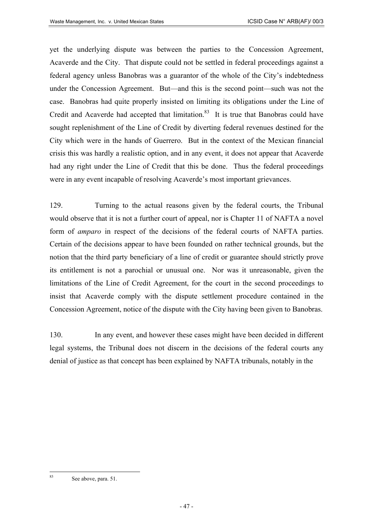yet the underlying dispute was between the parties to the Concession Agreement, Acaverde and the City. That dispute could not be settled in federal proceedings against a federal agency unless Banobras was a guarantor of the whole of the City's indebtedness under the Concession Agreement. But—and this is the second point—such was not the case. Banobras had quite properly insisted on limiting its obligations under the Line of Credit and Acaverde had accepted that limitation.<sup>83</sup> It is true that Banobras could have sought replenishment of the Line of Credit by diverting federal revenues destined for the City which were in the hands of Guerrero. But in the context of the Mexican financial crisis this was hardly a realistic option, and in any event, it does not appear that Acaverde had any right under the Line of Credit that this be done. Thus the federal proceedings were in any event incapable of resolving Acaverde's most important grievances.

129. Turning to the actual reasons given by the federal courts, the Tribunal would observe that it is not a further court of appeal, nor is Chapter 11 of NAFTA a novel form of *amparo* in respect of the decisions of the federal courts of NAFTA parties. Certain of the decisions appear to have been founded on rather technical grounds, but the notion that the third party beneficiary of a line of credit or guarantee should strictly prove its entitlement is not a parochial or unusual one. Nor was it unreasonable, given the limitations of the Line of Credit Agreement, for the court in the second proceedings to insist that Acaverde comply with the dispute settlement procedure contained in the Concession Agreement, notice of the dispute with the City having been given to Banobras.

130. In any event, and however these cases might have been decided in different legal systems, the Tribunal does not discern in the decisions of the federal courts any denial of justice as that concept has been explained by NAFTA tribunals, notably in the

<span id="page-46-0"></span><sup>83</sup> See above, para. 51.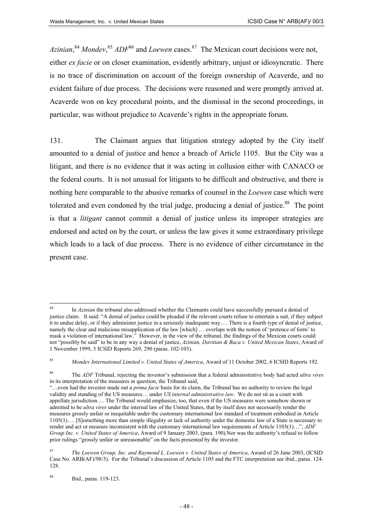Azinian,<sup>[84](#page-47-0)</sup> Mondev, <sup>[85](#page-47-1)</sup> ADF<sup>86</sup> and *Loewen* cases.<sup>87</sup> The Mexican court decisions were not, either *ex facie* or on closer examination, evidently arbitrary, unjust or idiosyncratic. There is no trace of discrimination on account of the foreign ownership of Acaverde, and no evident failure of due process. The decisions were reasoned and were promptly arrived at. Acaverde won on key procedural points, and the dismissal in the second proceedings, in particular, was without prejudice to Acaverde's rights in the appropriate forum.

131. The Claimant argues that litigation strategy adopted by the City itself amounted to a denial of justice and hence a breach of Article 1105. But the City was a litigant, and there is no evidence that it was acting in collusion either with CANACO or the federal courts. It is not unusual for litigants to be difficult and obstructive, and there is nothing here comparable to the abusive remarks of counsel in the *Loewen* case which were tolerated and even condoned by the trial judge, producing a denial of justice. $88$  The point is that a *litigant* cannot commit a denial of justice unless its improper strategies are endorsed and acted on by the court, or unless the law gives it some extraordinary privilege which leads to a lack of due process. There is no evidence of either circumstance in the present case.

<span id="page-47-0"></span><sup>84</sup> In *Azinian* the tribunal also addressed whether the Claimants could have successfully pursued a denial of justice claim. It said: "A denial of justice could be pleaded if the relevant courts refuse to entertain a suit, if they subject it to undue delay, or if they administer justice in a seriously inadequate way…. There is a fourth type of denial of justice, namely the clear and malicious misapplication of the law [which] … overlaps with the notion of 'pretence of form' to mask a violation of international law." However, in the view of the tribunal, the findings of the Mexican courts could not "possibly be said" to be in any way a denial of justice, *Azinian, Davitian & Baca v. United Mexican States*, Award of 1 November 1999, 5 ICSID Reports 269, 290 (paras. 102-103).

<span id="page-47-1"></span><sup>85</sup> *Mondev International Limited v. United States of America*, Award of 11 October 2002, 6 ICSID Reports 192.

<span id="page-47-2"></span><sup>86</sup> The *ADF* Tribunal, rejecting the investor's submission that a federal administrative body had acted *ultra vires* in its interpretation of the measures in question, the Tribunal said,

<sup>&</sup>quot;…even had the investor made out a *prima facie* basis for its claim, the Tribunal has no authority to review the legal validity and standing of the US measures… under *US internal administrative law*. We do not sit as a court with appellate jurisdiction…. The Tribunal would emphasize, too, that even if the US measures were somehow shown or admitted to be *ultra vires* under the internal law of the United States, that by itself does not necessarily render the measures grossly unfair or inequitable under the customary international law standard of treatment embodied in Article 1105(1)…. [S]omething more than simple illegality or lack of authority under the domestic law of a State is necessary to render and act or measure inconsistent with the customary international law requirements of Article 1105(1)…", *ADF Group Inc. v. United States of America*, Award of 9 January 2003, (para. 190).Nor was the authority's refusal to follow prior rulings "grossly unfair or unreasonable" on the facts presented by the investor.

<span id="page-47-3"></span><sup>87</sup> *The Loewen Group, Inc. and Raymond L. Loewen v. United States of America*, Award of 26 June 2003, (ICSID Case No. ARB(AF)/98/3). For the Tribunal's discussion of Article 1105 and the FTC interpretation see ibid., paras. 124- 128.

<span id="page-47-4"></span><sup>88</sup> Ibid., paras. 119-123.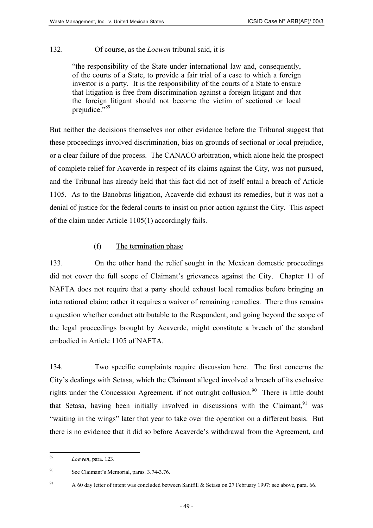# 132. Of course, as the *Loewen* tribunal said, it is

"the responsibility of the State under international law and, consequently, of the courts of a State, to provide a fair trial of a case to which a foreign investor is a party. It is the responsibility of the courts of a State to ensure that litigation is free from discrimination against a foreign litigant and that the foreign litigant should not become the victim of sectional or local prejudice."<sup>89</sup>

But neither the decisions themselves nor other evidence before the Tribunal suggest that these proceedings involved discrimination, bias on grounds of sectional or local prejudice, or a clear failure of due process. The CANACO arbitration, which alone held the prospect of complete relief for Acaverde in respect of its claims against the City, was not pursued, and the Tribunal has already held that this fact did not of itself entail a breach of Article 1105. As to the Banobras litigation, Acaverde did exhaust its remedies, but it was not a denial of justice for the federal courts to insist on prior action against the City. This aspect of the claim under Article 1105(1) accordingly fails.

# (f) The termination phase

133. On the other hand the relief sought in the Mexican domestic proceedings did not cover the full scope of Claimant's grievances against the City. Chapter 11 of NAFTA does not require that a party should exhaust local remedies before bringing an international claim: rather it requires a waiver of remaining remedies. There thus remains a question whether conduct attributable to the Respondent, and going beyond the scope of the legal proceedings brought by Acaverde, might constitute a breach of the standard embodied in Article 1105 of NAFTA.

134. Two specific complaints require discussion here. The first concerns the City's dealings with Setasa, which the Claimant alleged involved a breach of its exclusive rights under the Concession Agreement, if not outright collusion.<sup>90</sup> There is little doubt that Setasa, having been initially involved in discussions with the Claimant,  $91$  was "waiting in the wings" later that year to take over the operation on a different basis. But there is no evidence that it did so before Acaverde's withdrawal from the Agreement, and

<span id="page-48-2"></span><sup>91</sup> A 60 day letter of intent was concluded between Sanifill & Setasa on 27 February 1997: see above, para. 66.

<span id="page-48-0"></span><sup>89</sup> 89 *Loewen*, para. 123.

<span id="page-48-1"></span><sup>90</sup> See Claimant's Memorial, paras. 3.74-3.76.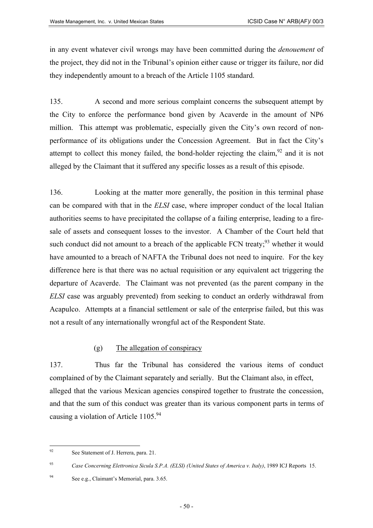in any event whatever civil wrongs may have been committed during the *denouement* of the project, they did not in the Tribunal's opinion either cause or trigger its failure, nor did they independently amount to a breach of the Article 1105 standard.

135. A second and more serious complaint concerns the subsequent attempt by the City to enforce the performance bond given by Acaverde in the amount of NP6 million. This attempt was problematic, especially given the City's own record of nonperformance of its obligations under the Concession Agreement. But in fact the City's attempt to collect this money failed, the bond-holder rejecting the claim,  $92$  and it is not alleged by the Claimant that it suffered any specific losses as a result of this episode.

136. Looking at the matter more generally, the position in this terminal phase can be compared with that in the *ELSI* case, where improper conduct of the local Italian authorities seems to have precipitated the collapse of a failing enterprise, leading to a firesale of assets and consequent losses to the investor. A Chamber of the Court held that such conduct did not amount to a breach of the applicable FCN treaty; $^{93}$  whether it would have amounted to a breach of NAFTA the Tribunal does not need to inquire. For the key difference here is that there was no actual requisition or any equivalent act triggering the departure of Acaverde. The Claimant was not prevented (as the parent company in the *ELSI* case was arguably prevented) from seeking to conduct an orderly withdrawal from Acapulco. Attempts at a financial settlement or sale of the enterprise failed, but this was not a result of any internationally wrongful act of the Respondent State.

### (g) The allegation of conspiracy

137. Thus far the Tribunal has considered the various items of conduct complained of by the Claimant separately and serially. But the Claimant also, in effect, alleged that the various Mexican agencies conspired together to frustrate the concession, and that the sum of this conduct was greater than its various component parts in terms of causing a violation of Article  $1105^{94}$  $1105^{94}$  $1105^{94}$ 

<span id="page-49-0"></span> $92$ See Statement of J. Herrera, para. 21.

<span id="page-49-1"></span><sup>93</sup> *Case Concerning Elettronica Sicula S.P.A. (ELSI) (United States of America v. Italy)*, 1989 ICJ Reports 15.

<span id="page-49-2"></span><sup>94</sup> See e.g., Claimant's Memorial, para. 3.65.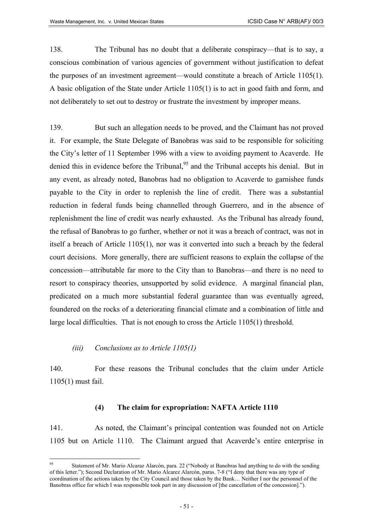138. The Tribunal has no doubt that a deliberate conspiracy—that is to say, a conscious combination of various agencies of government without justification to defeat the purposes of an investment agreement—would constitute a breach of Article 1105(1). A basic obligation of the State under Article 1105(1) is to act in good faith and form, and not deliberately to set out to destroy or frustrate the investment by improper means.

139. But such an allegation needs to be proved, and the Claimant has not proved it. For example, the State Delegate of Banobras was said to be responsible for soliciting the City's letter of 11 September 1996 with a view to avoiding payment to Acaverde. He denied this in evidence before the Tribunal,<sup>95</sup> and the Tribunal accepts his denial. But in any event, as already noted, Banobras had no obligation to Acaverde to garnishee funds payable to the City in order to replenish the line of credit. There was a substantial reduction in federal funds being channelled through Guerrero, and in the absence of replenishment the line of credit was nearly exhausted. As the Tribunal has already found, the refusal of Banobras to go further, whether or not it was a breach of contract, was not in itself a breach of Article 1105(1), nor was it converted into such a breach by the federal court decisions. More generally, there are sufficient reasons to explain the collapse of the concession—attributable far more to the City than to Banobras—and there is no need to resort to conspiracy theories, unsupported by solid evidence. A marginal financial plan, predicated on a much more substantial federal guarantee than was eventually agreed, foundered on the rocks of a deteriorating financial climate and a combination of little and large local difficulties. That is not enough to cross the Article 1105(1) threshold.

#### *(iii) Conclusions as to Article 1105(1)*

140. For these reasons the Tribunal concludes that the claim under Article 1105(1) must fail.

#### **(4) The claim for expropriation: NAFTA Article 1110**

141. As noted, the Claimant's principal contention was founded not on Article 1105 but on Article 1110. The Claimant argued that Acaverde's entire enterprise in

<span id="page-50-0"></span> $95$ <sup>95</sup> Statement of Mr. Mario Alcaraz Alarcón, para. 22 ("Nobody at Banobras had anything to do with the sending of this letter."); Second Declaration of Mr. Mario Alcarez Alarcón, paras. 7-8 ("I deny that there was any type of coordination of the actions taken by the City Council and those taken by the Bank… Neither I nor the personnel of the Banobras office for which I was responsible took part in any discussion of [the cancellation of the concession].").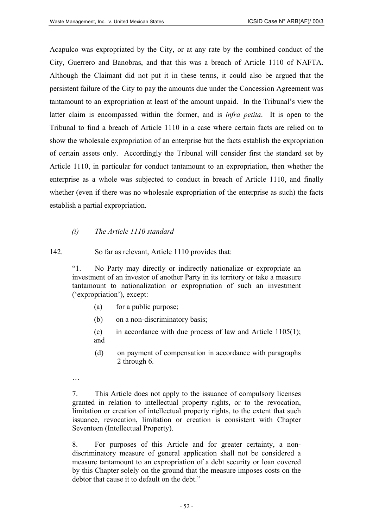Acapulco was expropriated by the City, or at any rate by the combined conduct of the City, Guerrero and Banobras, and that this was a breach of Article 1110 of NAFTA. Although the Claimant did not put it in these terms, it could also be argued that the persistent failure of the City to pay the amounts due under the Concession Agreement was tantamount to an expropriation at least of the amount unpaid. In the Tribunal's view the latter claim is encompassed within the former, and is *infra petita*. It is open to the Tribunal to find a breach of Article 1110 in a case where certain facts are relied on to show the wholesale expropriation of an enterprise but the facts establish the expropriation of certain assets only. Accordingly the Tribunal will consider first the standard set by Article 1110, in particular for conduct tantamount to an expropriation, then whether the enterprise as a whole was subjected to conduct in breach of Article 1110, and finally whether (even if there was no wholesale expropriation of the enterprise as such) the facts establish a partial expropriation.

#### *(i) The Article 1110 standard*

142. So far as relevant, Article 1110 provides that:

"1. No Party may directly or indirectly nationalize or expropriate an investment of an investor of another Party in its territory or take a measure tantamount to nationalization or expropriation of such an investment ('expropriation'), except:

- (a) for a public purpose;
- (b) on a non-discriminatory basis;
- (c) in accordance with due process of law and Article  $1105(1)$ ; and
- (d) on payment of compensation in accordance with paragraphs 2 through 6.
- …

7. This Article does not apply to the issuance of compulsory licenses granted in relation to intellectual property rights, or to the revocation, limitation or creation of intellectual property rights, to the extent that such issuance, revocation, limitation or creation is consistent with Chapter Seventeen (Intellectual Property).

8. For purposes of this Article and for greater certainty, a nondiscriminatory measure of general application shall not be considered a measure tantamount to an expropriation of a debt security or loan covered by this Chapter solely on the ground that the measure imposes costs on the debtor that cause it to default on the debt."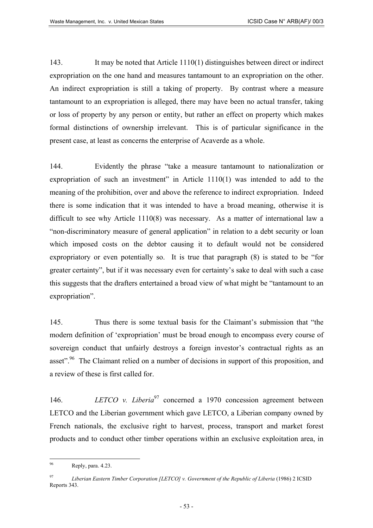143. It may be noted that Article 1110(1) distinguishes between direct or indirect expropriation on the one hand and measures tantamount to an expropriation on the other. An indirect expropriation is still a taking of property. By contrast where a measure tantamount to an expropriation is alleged, there may have been no actual transfer, taking or loss of property by any person or entity, but rather an effect on property which makes formal distinctions of ownership irrelevant. This is of particular significance in the present case, at least as concerns the enterprise of Acaverde as a whole.

144. Evidently the phrase "take a measure tantamount to nationalization or expropriation of such an investment" in Article 1110(1) was intended to add to the meaning of the prohibition, over and above the reference to indirect expropriation. Indeed there is some indication that it was intended to have a broad meaning, otherwise it is difficult to see why Article 1110(8) was necessary. As a matter of international law a "non-discriminatory measure of general application" in relation to a debt security or loan which imposed costs on the debtor causing it to default would not be considered expropriatory or even potentially so. It is true that paragraph (8) is stated to be "for greater certainty", but if it was necessary even for certainty's sake to deal with such a case this suggests that the drafters entertained a broad view of what might be "tantamount to an expropriation".

145. Thus there is some textual basis for the Claimant's submission that "the modern definition of 'expropriation' must be broad enough to encompass every course of sovereign conduct that unfairly destroys a foreign investor's contractual rights as an asset".<sup>96</sup> The Claimant relied on a number of decisions in support of this proposition, and a review of these is first called for.

146. *LETCO v. Liberia*<sup>[97](#page-52-1)</sup> concerned a 1970 concession agreement between LETCO and the Liberian government which gave LETCO, a Liberian company owned by French nationals, the exclusive right to harvest, process, transport and market forest products and to conduct other timber operations within an exclusive exploitation area, in

<span id="page-52-0"></span><sup>96</sup> Reply, para. 4.23.

<span id="page-52-1"></span><sup>97</sup> *Liberian Eastern Timber Corporation [LETCO] v. Government of the Republic of Liberia* (1986) 2 ICSID Reports 343.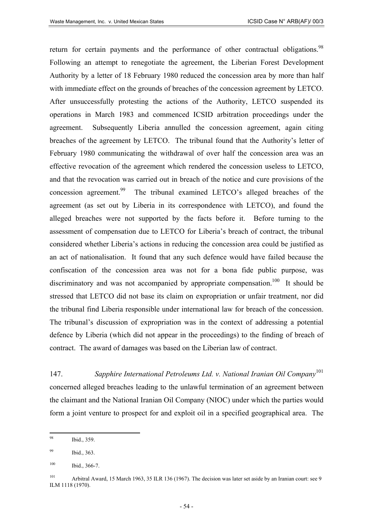return for certain payments and the performance of other contractual obligations.<sup>98</sup> Following an attempt to renegotiate the agreement, the Liberian Forest Development Authority by a letter of 18 February 1980 reduced the concession area by more than half with immediate effect on the grounds of breaches of the concession agreement by LETCO. After unsuccessfully protesting the actions of the Authority, LETCO suspended its operations in March 1983 and commenced ICSID arbitration proceedings under the agreement. Subsequently Liberia annulled the concession agreement, again citing breaches of the agreement by LETCO. The tribunal found that the Authority's letter of February 1980 communicating the withdrawal of over half the concession area was an effective revocation of the agreement which rendered the concession useless to LETCO, and that the revocation was carried out in breach of the notice and cure provisions of the concession agreement.<sup>99</sup> The tribunal examined LETCO's alleged breaches of the agreement (as set out by Liberia in its correspondence with LETCO), and found the alleged breaches were not supported by the facts before it. Before turning to the assessment of compensation due to LETCO for Liberia's breach of contract, the tribunal considered whether Liberia's actions in reducing the concession area could be justified as an act of nationalisation. It found that any such defence would have failed because the confiscation of the concession area was not for a bona fide public purpose, was discriminatory and was not accompanied by appropriate compensation.<sup>100</sup> It should be stressed that LETCO did not base its claim on expropriation or unfair treatment, nor did the tribunal find Liberia responsible under international law for breach of the concession. The tribunal's discussion of expropriation was in the context of addressing a potential defence by Liberia (which did not appear in the proceedings) to the finding of breach of contract. The award of damages was based on the Liberian law of contract.

147. *Sapphire International Petroleums Ltd. v. National Iranian Oil Company*[101](#page-53-3) concerned alleged breaches leading to the unlawful termination of an agreement between the claimant and the National Iranian Oil Company (NIOC) under which the parties would form a joint venture to prospect for and exploit oil in a specified geographical area. The

<span id="page-53-0"></span> $Q\overline{Q}$ Ibid., 359.

<span id="page-53-1"></span><sup>99</sup> Ibid., 363.

<span id="page-53-2"></span> $100$  Ibid., 366-7.

<span id="page-53-3"></span><sup>101</sup> Arbitral Award, 15 March 1963, 35 ILR 136 (1967). The decision was later set aside by an Iranian court: see 9 ILM 1118 (1970).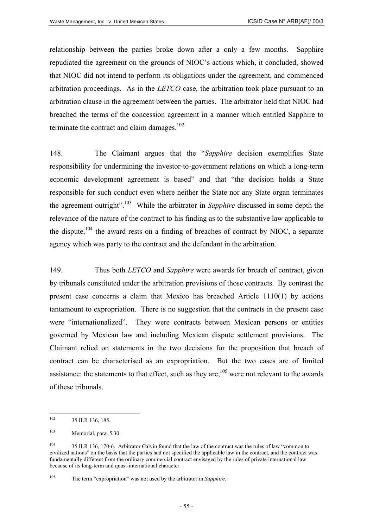relationship between the parties broke down after a only a few months. Sapphire repudiated the agreement on the grounds of NIOC's actions which, it concluded, showed that NIOC did not intend to perform its obligations under the agreement, and commenced arbitration proceedings. As in the *LETCO* case, the arbitration took place pursuant to an arbitration clause in the agreement between the parties. The arbitrator held that NIOC had breached the terms of the concession agreement in a manner which entitled Sapphire to terminate the contract and claim damages.<sup>[102](#page-54-0)</sup>

148. The Claimant argues that the "*Sapphire* decision exemplifies State responsibility for undermining the investor-to-government relations on which a long-term economic development agreement is based" and that "the decision holds a State responsible for such conduct even where neither the State nor any State organ terminates the agreement outright"[.103](#page-54-1) While the arbitrator in *Sapphire* discussed in some depth the relevance of the nature of the contract to his finding as to the substantive law applicable to the dispute, $104$  the award rests on a finding of breaches of contract by NIOC, a separate agency which was party to the contract and the defendant in the arbitration.

149. Thus both *LETCO* and *Sapphire* were awards for breach of contract, given by tribunals constituted under the arbitration provisions of those contracts. By contrast the present case concerns a claim that Mexico has breached Article 1110(1) by actions tantamount to expropriation. There is no suggestion that the contracts in the present case were "internationalized". They were contracts between Mexican persons or entities governed by Mexican law and including Mexican dispute settlement provisions. The Claimant relied on statements in the two decisions for the proposition that breach of contract can be characterised as an expropriation. But the two cases are of limited assistance: the statements to that effect, such as they are,  $105$  were not relevant to the awards of these tribunals.

<span id="page-54-0"></span><sup>102</sup> 35 ILR 136, 185.

<span id="page-54-1"></span><sup>103</sup> Memorial, para. 5.30.

<span id="page-54-2"></span><sup>&</sup>lt;sup>104</sup> 35 ILR 136, 170-6. Arbitrator Calvin found that the law of the contract was the rules of law "common to civilized nations" on the basis that the parties had not specified the applicable law in the contract, and the contract was fundamentally different from the ordinary commercial contract envisaged by the rules of private international law because of its long-term and quasi-international character.

<span id="page-54-3"></span><sup>105</sup> The term "expropriation" was not used by the arbitrator in *Sapphire*.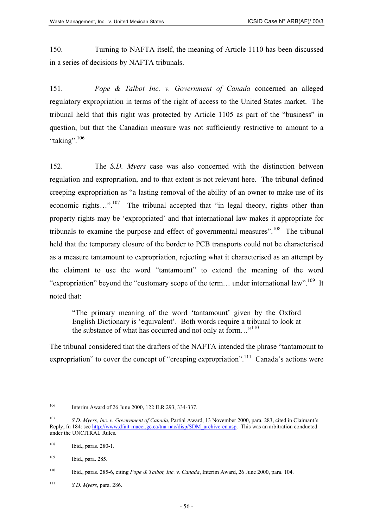150. Turning to NAFTA itself, the meaning of Article 1110 has been discussed in a series of decisions by NAFTA tribunals.

151. *Pope & Talbot Inc. v. Government of Canada* concerned an alleged regulatory expropriation in terms of the right of access to the United States market. The tribunal held that this right was protected by Article 1105 as part of the "business" in question, but that the Canadian measure was not sufficiently restrictive to amount to a "taking".<sup>[106](#page-55-0)</sup>

152. The *S.D. Myers* case was also concerned with the distinction between regulation and expropriation, and to that extent is not relevant here. The tribunal defined creeping expropriation as "a lasting removal of the ability of an owner to make use of its economic rights…".<sup>107</sup> The tribunal accepted that "in legal theory, rights other than property rights may be 'expropriated' and that international law makes it appropriate for tribunals to examine the purpose and effect of governmental measures".<sup>108</sup> The tribunal held that the temporary closure of the border to PCB transports could not be characterised as a measure tantamount to expropriation, rejecting what it characterised as an attempt by the claimant to use the word "tantamount" to extend the meaning of the word "expropriation" beyond the "customary scope of the term... under international law".<sup>109</sup> It noted that:

"The primary meaning of the word 'tantamount' given by the Oxford English Dictionary is 'equivalent'. Both words require a tribunal to look at the substance of what has occurred and not only at form..."<sup>[110](#page-55-4)</sup>

The tribunal considered that the drafters of the NAFTA intended the phrase "tantamount to expropriation" to cover the concept of "creeping expropriation".<sup>111</sup> Canada's actions were

<span id="page-55-0"></span><sup>106</sup> Interim Award of 26 June 2000, 122 ILR 293, 334-337.

<span id="page-55-1"></span><sup>107</sup> *S.D. Myers, Inc. v. Government of Canada*, Partial Award, 13 November 2000, para. 283, cited in Claimant's Reply, fn 184: see [http://www.dfait-maeci.gc.ca/tna-nac/disp/SDM\\_archive-en.asp](http://www.dfait-maeci.gc.ca/tna-nac/disp/SDM_archive-en.asp;). This was an arbitration conducted under the UNCITRAL Rules.

<span id="page-55-2"></span><sup>108</sup> Ibid., paras. 280-1.

<span id="page-55-3"></span><sup>109</sup> Ibid., para. 285.

<span id="page-55-4"></span><sup>110</sup> Ibid., paras. 285-6, citing *Pope & Talbot, Inc. v. Canada*, Interim Award, 26 June 2000, para. 104.

<span id="page-55-5"></span><sup>111</sup> *S.D. Myers*, para. 286.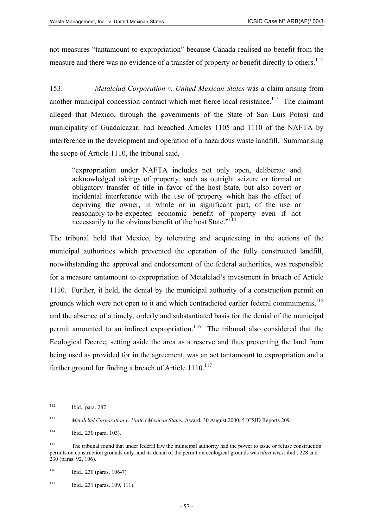not measures "tantamount to expropriation" because Canada realised no benefit from the measure and there was no evidence of a transfer of property or benefit directly to others.<sup>112</sup>

153. *Metalclad Corporation v. United Mexican States* was a claim arising from another municipal concession contract which met fierce local resistance.<sup>113</sup> The claimant alleged that Mexico, through the governments of the State of San Luis Potosi and municipality of Guadalcazar, had breached Articles 1105 and 1110 of the NAFTA by interference in the development and operation of a hazardous waste landfill. Summarising the scope of Article 1110, the tribunal said,

"expropriation under NAFTA includes not only open, deliberate and acknowledged takings of property, such as outright seizure or formal or obligatory transfer of title in favor of the host State, but also covert or incidental interference with the use of property which has the effect of depriving the owner, in whole or in significant part, of the use or reasonably-to-be-expected economic benefit of property even if not necessarily to the obvious benefit of the host State."<sup>[114](#page-56-2)</sup>

The tribunal held that Mexico, by tolerating and acquiescing in the actions of the municipal authorities which prevented the operation of the fully constructed landfill, notwithstanding the approval and endorsement of the federal authorities, was responsible for a measure tantamount to expropriation of Metalclad's investment in breach of Article 1110. Further, it held, the denial by the municipal authority of a construction permit on grounds which were not open to it and which contradicted earlier federal commitments,<sup>115</sup> and the absence of a timely, orderly and substantiated basis for the denial of the municipal permit amounted to an indirect expropriation.<sup>116</sup> The tribunal also considered that the Ecological Decree, setting aside the area as a reserve and thus preventing the land from being used as provided for in the agreement, was an act tantamount to expropriation and a further ground for finding a breach of Article  $1110^{117}$ 

<span id="page-56-0"></span><sup>112</sup> Ibid., para. 287.

<span id="page-56-1"></span><sup>113</sup> *Metalclad Corporation v. United Mexican States*, Award, 30 August 2000, 5 ICSID Reports 209.

<span id="page-56-2"></span><sup>114</sup> Ibid., 230 (para. 103).

<span id="page-56-3"></span><sup>115</sup> The tribunal found that under federal law the municipal authority had the power to issue or refuse construction permits on construction grounds only, and its denial of the permit on ecological grounds was *ultra vires*: ibid., 228 and 230 (paras. 92, 106).

<span id="page-56-4"></span> $116$  Ibid., 230 (paras. 106-7)

<span id="page-56-5"></span><sup>117</sup> Ibid., 231 (paras. 109, 111).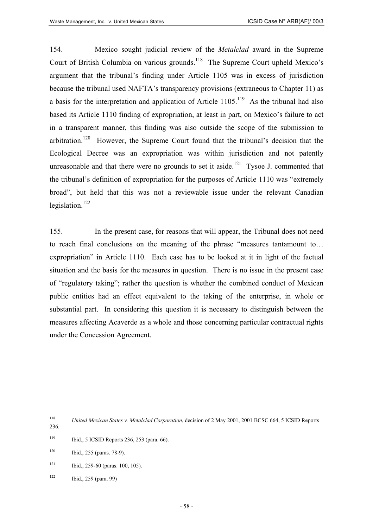154. Mexico sought judicial review of the *Metalclad* award in the Supreme Court of British Columbia on various grounds.<sup>118</sup> The Supreme Court upheld Mexico's argument that the tribunal's finding under Article 1105 was in excess of jurisdiction because the tribunal used NAFTA's transparency provisions (extraneous to Chapter 11) as a basis for the interpretation and application of Article  $1105$ <sup> $119$ </sup> As the tribunal had also based its Article 1110 finding of expropriation, at least in part, on Mexico's failure to act in a transparent manner, this finding was also outside the scope of the submission to arbitration.<sup>120</sup> However, the Supreme Court found that the tribunal's decision that the Ecological Decree was an expropriation was within jurisdiction and not patently unreasonable and that there were no grounds to set it aside.<sup>121</sup> Tysoe J. commented that the tribunal's definition of expropriation for the purposes of Article 1110 was "extremely broad", but held that this was not a reviewable issue under the relevant Canadian legislation. $122$ 

155. In the present case, for reasons that will appear, the Tribunal does not need to reach final conclusions on the meaning of the phrase "measures tantamount to… expropriation" in Article 1110. Each case has to be looked at it in light of the factual situation and the basis for the measures in question. There is no issue in the present case of "regulatory taking"; rather the question is whether the combined conduct of Mexican public entities had an effect equivalent to the taking of the enterprise, in whole or substantial part. In considering this question it is necessary to distinguish between the measures affecting Acaverde as a whole and those concerning particular contractual rights under the Concession Agreement.

 $\overline{a}$ 

<span id="page-57-4"></span> $122$  Ibid., 259 (para. 99)

<span id="page-57-0"></span><sup>118</sup> *United Mexican States v. Metalclad Corporation*, decision of 2 May 2001, 2001 BCSC 664, 5 ICSID Reports

<sup>236.</sup> 

<span id="page-57-1"></span><sup>119</sup> Ibid., 5 ICSID Reports 236, 253 (para. 66).

<span id="page-57-2"></span><sup>120</sup> Ibid., 255 (paras. 78-9).

<span id="page-57-3"></span> $121$  Ibid., 259-60 (paras. 100, 105).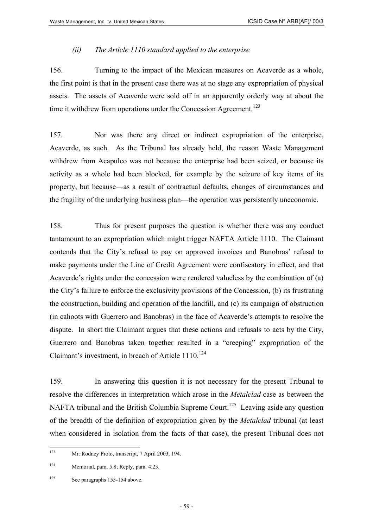#### *(ii) The Article 1110 standard applied to the enterprise*

156. Turning to the impact of the Mexican measures on Acaverde as a whole, the first point is that in the present case there was at no stage any expropriation of physical assets. The assets of Acaverde were sold off in an apparently orderly way at about the time it withdrew from operations under the Concession Agreement.<sup>[123](#page-58-0)</sup>

157. Nor was there any direct or indirect expropriation of the enterprise, Acaverde, as such. As the Tribunal has already held, the reason Waste Management withdrew from Acapulco was not because the enterprise had been seized, or because its activity as a whole had been blocked, for example by the seizure of key items of its property, but because—as a result of contractual defaults, changes of circumstances and the fragility of the underlying business plan—the operation was persistently uneconomic.

158. Thus for present purposes the question is whether there was any conduct tantamount to an expropriation which might trigger NAFTA Article 1110. The Claimant contends that the City's refusal to pay on approved invoices and Banobras' refusal to make payments under the Line of Credit Agreement were confiscatory in effect, and that Acaverde's rights under the concession were rendered valueless by the combination of (a) the City's failure to enforce the exclusivity provisions of the Concession, (b) its frustrating the construction, building and operation of the landfill, and (c) its campaign of obstruction (in cahoots with Guerrero and Banobras) in the face of Acaverde's attempts to resolve the dispute. In short the Claimant argues that these actions and refusals to acts by the City, Guerrero and Banobras taken together resulted in a "creeping" expropriation of the Claimant's investment, in breach of Article 1110.<sup>[124](#page-58-1)</sup>

159. In answering this question it is not necessary for the present Tribunal to resolve the differences in interpretation which arose in the *Metalclad* case as between the NAFTA tribunal and the British Columbia Supreme Court.<sup>125</sup> Leaving aside any question of the breadth of the definition of expropriation given by the *Metalclad* tribunal (at least when considered in isolation from the facts of that case), the present Tribunal does not

<span id="page-58-0"></span> $123$ Mr. Rodney Proto, transcript, 7 April 2003, 194.

<span id="page-58-1"></span><sup>124</sup> Memorial, para. 5.8; Reply, para. 4.23.

<span id="page-58-2"></span><sup>&</sup>lt;sup>125</sup> See paragraphs 153-154 above.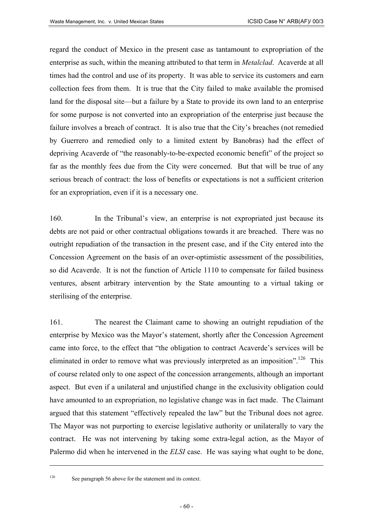regard the conduct of Mexico in the present case as tantamount to expropriation of the enterprise as such, within the meaning attributed to that term in *Metalclad*. Acaverde at all times had the control and use of its property. It was able to service its customers and earn collection fees from them. It is true that the City failed to make available the promised land for the disposal site—but a failure by a State to provide its own land to an enterprise for some purpose is not converted into an expropriation of the enterprise just because the failure involves a breach of contract. It is also true that the City's breaches (not remedied by Guerrero and remedied only to a limited extent by Banobras) had the effect of depriving Acaverde of "the reasonably-to-be-expected economic benefit" of the project so far as the monthly fees due from the City were concerned. But that will be true of any serious breach of contract: the loss of benefits or expectations is not a sufficient criterion for an expropriation, even if it is a necessary one.

160. In the Tribunal's view, an enterprise is not expropriated just because its debts are not paid or other contractual obligations towards it are breached. There was no outright repudiation of the transaction in the present case, and if the City entered into the Concession Agreement on the basis of an over-optimistic assessment of the possibilities, so did Acaverde. It is not the function of Article 1110 to compensate for failed business ventures, absent arbitrary intervention by the State amounting to a virtual taking or sterilising of the enterprise.

161. The nearest the Claimant came to showing an outright repudiation of the enterprise by Mexico was the Mayor's statement, shortly after the Concession Agreement came into force, to the effect that "the obligation to contract Acaverde's services will be eliminated in order to remove what was previously interpreted as an imposition".<sup>126</sup> This of course related only to one aspect of the concession arrangements, although an important aspect. But even if a unilateral and unjustified change in the exclusivity obligation could have amounted to an expropriation, no legislative change was in fact made. The Claimant argued that this statement "effectively repealed the law" but the Tribunal does not agree. The Mayor was not purporting to exercise legislative authority or unilaterally to vary the contract. He was not intervening by taking some extra-legal action, as the Mayor of Palermo did when he intervened in the *ELSI* case. He was saying what ought to be done,

<span id="page-59-0"></span><sup>126</sup> See paragraph 56 above for the statement and its context.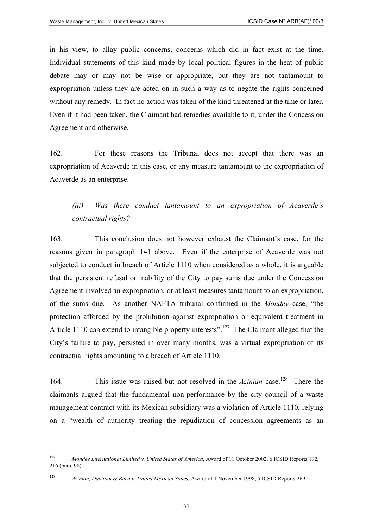in his view, to allay public concerns, concerns which did in fact exist at the time. Individual statements of this kind made by local political figures in the heat of public debate may or may not be wise or appropriate, but they are not tantamount to expropriation unless they are acted on in such a way as to negate the rights concerned without any remedy. In fact no action was taken of the kind threatened at the time or later. Even if it had been taken, the Claimant had remedies available to it, under the Concession Agreement and otherwise.

162. For these reasons the Tribunal does not accept that there was an expropriation of Acaverde in this case, or any measure tantamount to the expropriation of Acaverde as an enterprise.

# *(iii) Was there conduct tantamount to an expropriation of Acaverde's contractual rights?*

163. This conclusion does not however exhaust the Claimant's case, for the reasons given in paragraph 141 above. Even if the enterprise of Acaverde was not subjected to conduct in breach of Article 1110 when considered as a whole, it is arguable that the persistent refusal or inability of the City to pay sums due under the Concession Agreement involved an expropriation, or at least measures tantamount to an expropriation, of the sums due. As another NAFTA tribunal confirmed in the *Mondev* case, "the protection afforded by the prohibition against expropriation or equivalent treatment in Article 1110 can extend to intangible property interests".<sup>127</sup> The Claimant alleged that the City's failure to pay, persisted in over many months, was a virtual expropriation of its contractual rights amounting to a breach of Article 1110.

164. This issue was raised but not resolved in the *Azinian* case.<sup>128</sup> There the claimants argued that the fundamental non-performance by the city council of a waste management contract with its Mexican subsidiary was a violation of Article 1110, relying on a "wealth of authority treating the repudiation of concession agreements as an

<span id="page-60-0"></span><sup>127</sup> *Mondev International Limited v. United States of America*, Award of 11 October 2002, 6 ICSID Reports 192, 216 (para. 98).

<span id="page-60-1"></span><sup>128</sup> *Azinian, Davitian & Baca v. United Mexican States,* Award of 1 November 1998, 5 ICSID Reports 269.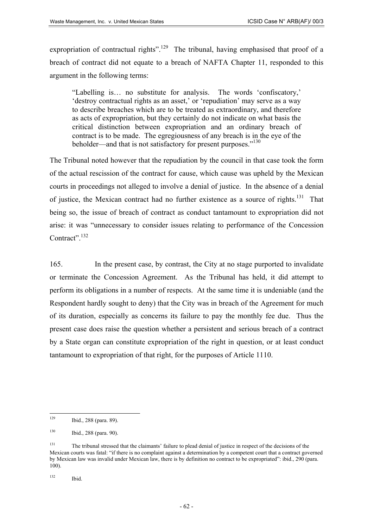expropriation of contractual rights".<sup>129</sup> The tribunal, having emphasised that proof of a breach of contract did not equate to a breach of NAFTA Chapter 11, responded to this argument in the following terms:

"Labelling is… no substitute for analysis. The words 'confiscatory,' 'destroy contractual rights as an asset,' or 'repudiation' may serve as a way to describe breaches which are to be treated as extraordinary, and therefore as acts of expropriation, but they certainly do not indicate on what basis the critical distinction between expropriation and an ordinary breach of contract is to be made. The egregiousness of any breach is in the eye of the beholder—and that is not satisfactory for present purposes."<sup>[130](#page-61-1)</sup>

The Tribunal noted however that the repudiation by the council in that case took the form of the actual rescission of the contract for cause, which cause was upheld by the Mexican courts in proceedings not alleged to involve a denial of justice. In the absence of a denial of justice, the Mexican contract had no further existence as a source of rights.<sup>131</sup> That being so, the issue of breach of contract as conduct tantamount to expropriation did not arise: it was "unnecessary to consider issues relating to performance of the Concession Contract".<sup>[132](#page-61-3)</sup>

165. In the present case, by contrast, the City at no stage purported to invalidate or terminate the Concession Agreement. As the Tribunal has held, it did attempt to perform its obligations in a number of respects. At the same time it is undeniable (and the Respondent hardly sought to deny) that the City was in breach of the Agreement for much of its duration, especially as concerns its failure to pay the monthly fee due. Thus the present case does raise the question whether a persistent and serious breach of a contract by a State organ can constitute expropriation of the right in question, or at least conduct tantamount to expropriation of that right, for the purposes of Article 1110.

<span id="page-61-0"></span> $120$ Ibid., 288 (para. 89).

<span id="page-61-1"></span><sup>130</sup> Ibid., 288 (para. 90).

<span id="page-61-2"></span><sup>&</sup>lt;sup>131</sup> The tribunal stressed that the claimants' failure to plead denial of justice in respect of the decisions of the Mexican courts was fatal: "if there is no complaint against a determination by a competent court that a contract governed by Mexican law was invalid under Mexican law, there is by definition no contract to be expropriated": ibid., 290 (para. 100).

<span id="page-61-3"></span> $132$  Ibid.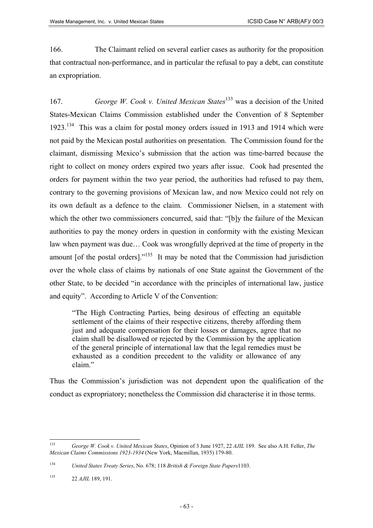166. The Claimant relied on several earlier cases as authority for the proposition that contractual non-performance, and in particular the refusal to pay a debt, can constitute an expropriation.

167. *George W. Cook v. United Mexican States*[133 w](#page-62-0)as a decision of the United States-Mexican Claims Commission established under the Convention of 8 September 1923.[134](#page-62-1) This was a claim for postal money orders issued in 1913 and 1914 which were not paid by the Mexican postal authorities on presentation. The Commission found for the claimant, dismissing Mexico's submission that the action was time-barred because the right to collect on money orders expired two years after issue. Cook had presented the orders for payment within the two year period, the authorities had refused to pay them, contrary to the governing provisions of Mexican law, and now Mexico could not rely on its own default as a defence to the claim. Commissioner Nielsen, in a statement with which the other two commissioners concurred, said that: "[b]y the failure of the Mexican authorities to pay the money orders in question in conformity with the existing Mexican law when payment was due… Cook was wrongfully deprived at the time of property in the amount [of the postal orders]." $135$  It may be noted that the Commission had jurisdiction over the whole class of claims by nationals of one State against the Government of the other State, to be decided "in accordance with the principles of international law, justice and equity". According to Article V of the Convention:

"The High Contracting Parties, being desirous of effecting an equitable settlement of the claims of their respective citizens, thereby affording them just and adequate compensation for their losses or damages, agree that no claim shall be disallowed or rejected by the Commission by the application of the general principle of international law that the legal remedies must be exhausted as a condition precedent to the validity or allowance of any claim"

Thus the Commission's jurisdiction was not dependent upon the qualification of the conduct as expropriatory; nonetheless the Commission did characterise it in those terms.

<span id="page-62-0"></span><sup>133</sup> <sup>133</sup> *George W. Cook v. United Mexican States*, Opinion of 3 June 1927, 22 *AJIL* 189. See also A.H. Feller, *The Mexican Claims Commissions 1923-1934* (New York, Macmillan, 1935) 179-80.

<span id="page-62-1"></span><sup>134</sup> *United States Treaty Series*, No. 678; 118 *British & Foreign State Papers*1103.

<span id="page-62-2"></span><sup>135 22</sup> *AJIL* 189, 191.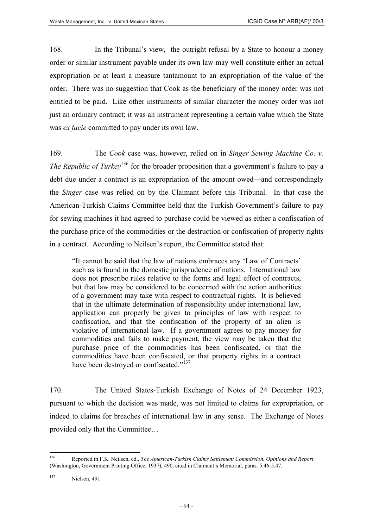168. In the Tribunal's view, the outright refusal by a State to honour a money order or similar instrument payable under its own law may well constitute either an actual expropriation or at least a measure tantamount to an expropriation of the value of the order. There was no suggestion that Cook as the beneficiary of the money order was not entitled to be paid. Like other instruments of similar character the money order was not just an ordinary contract; it was an instrument representing a certain value which the State was *ex facie* committed to pay under its own law.

169. The *Cook* case was, however, relied on in *Singer Sewing Machine Co. v. The Republic of Turkey*<sup>136</sup> for the broader proposition that a government's failure to pay a debt due under a contract is an expropriation of the amount owed—and correspondingly the *Singer* case was relied on by the Claimant before this Tribunal. In that case the American-Turkish Claims Committee held that the Turkish Government's failure to pay for sewing machines it had agreed to purchase could be viewed as either a confiscation of the purchase price of the commodities or the destruction or confiscation of property rights in a contract. According to Neilsen's report, the Committee stated that:

"It cannot be said that the law of nations embraces any 'Law of Contracts' such as is found in the domestic jurisprudence of nations. International law does not prescribe rules relative to the forms and legal effect of contracts, but that law may be considered to be concerned with the action authorities of a government may take with respect to contractual rights. It is believed that in the ultimate determination of responsibility under international law, application can properly be given to principles of law with respect to confiscation, and that the confiscation of the property of an alien is violative of international law. If a government agrees to pay money for commodities and fails to make payment, the view may be taken that the purchase price of the commodities has been confiscated, or that the commodities have been confiscated, or that property rights in a contract have been destroyed or confiscated."<sup>[137](#page-63-1)</sup>

170. The United States-Turkish Exchange of Notes of 24 December 1923, pursuant to which the decision was made, was not limited to claims for expropriation, or indeed to claims for breaches of international law in any sense. The Exchange of Notes provided only that the Committee…

<span id="page-63-0"></span><sup>136</sup> <sup>136</sup> Reported in F.K. Neilsen, ed., *The American-Turkish Claims Settlement Commission. Opinions and Report* (Washington, Government Printing Office, 1937), 490, cited in Claimant's Memorial, paras. 5.46-5.47.

<span id="page-63-1"></span><sup>137</sup> Nielsen, 491.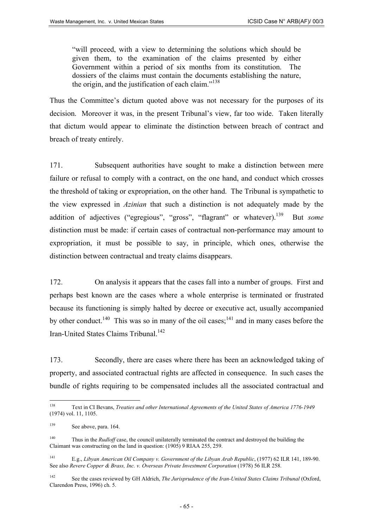"will proceed, with a view to determining the solutions which should be given them, to the examination of the claims presented by either Government within a period of six months from its constitution. The dossiers of the claims must contain the documents establishing the nature, the origin, and the justification of each claim."<sup>[138](#page-64-0)</sup>

Thus the Committee's dictum quoted above was not necessary for the purposes of its decision. Moreover it was, in the present Tribunal's view, far too wide. Taken literally that dictum would appear to eliminate the distinction between breach of contract and breach of treaty entirely.

171. Subsequent authorities have sought to make a distinction between mere failure or refusal to comply with a contract, on the one hand, and conduct which crosses the threshold of taking or expropriation, on the other hand. The Tribunal is sympathetic to the view expressed in *Azinian* that such a distinction is not adequately made by the addition of adjectives ("egregious", "gross", "flagrant" or whatever).<sup>139</sup> But *some* distinction must be made: if certain cases of contractual non-performance may amount to expropriation, it must be possible to say, in principle, which ones, otherwise the distinction between contractual and treaty claims disappears.

172. On analysis it appears that the cases fall into a number of groups. First and perhaps best known are the cases where a whole enterprise is terminated or frustrated because its functioning is simply halted by decree or executive act, usually accompanied by other conduct.<sup>140</sup> This was so in many of the oil cases;<sup>141</sup> and in many cases before the Iran-United States Claims Tribunal.<sup>142</sup>

173. Secondly, there are cases where there has been an acknowledged taking of property, and associated contractual rights are affected in consequence. In such cases the bundle of rights requiring to be compensated includes all the associated contractual and

<span id="page-64-0"></span><sup>138</sup> <sup>138</sup> Text in CI Bevans, *Treaties and other International Agreements of the United States of America 1776-1949* (1974) vol. 11, 1105.

<span id="page-64-1"></span><sup>&</sup>lt;sup>139</sup> See above, para. 164.

<span id="page-64-2"></span><sup>&</sup>lt;sup>140</sup> Thus in the *Rudloff* case, the council unilaterally terminated the contract and destroyed the building the Claimant was constructing on the land in question: (1905) 9 RIAA 255, 259.

<span id="page-64-3"></span><sup>141</sup> E.g., *Libyan American Oil Company v. Government of the Libyan Arab Republic*, (1977) 62 ILR 141, 189-90. See also *Revere Copper & Brass, Inc. v. Overseas Private Investment Corporation* (1978) 56 ILR 258.

<span id="page-64-4"></span><sup>142</sup> See the cases reviewed by GH Aldrich, *The Jurisprudence of the Iran-United States Claims Tribunal* (Oxford, Clarendon Press, 1996) ch. 5.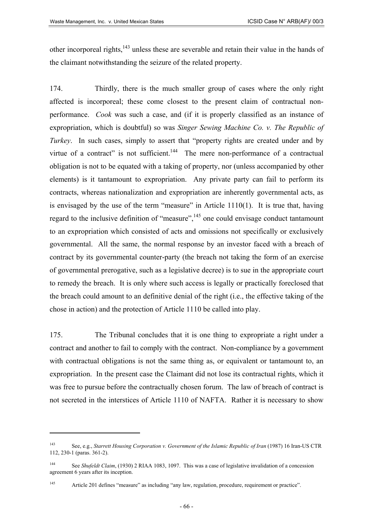other incorporeal rights,<sup>143</sup> unless these are severable and retain their value in the hands of the claimant notwithstanding the seizure of the related property.

174. Thirdly, there is the much smaller group of cases where the only right affected is incorporeal; these come closest to the present claim of contractual nonperformance. *Cook* was such a case, and (if it is properly classified as an instance of expropriation, which is doubtful) so was *Singer Sewing Machine Co. v. The Republic of Turkey*. In such cases, simply to assert that "property rights are created under and by virtue of a contract" is not sufficient.<sup>144</sup> The mere non-performance of a contractual obligation is not to be equated with a taking of property, nor (unless accompanied by other elements) is it tantamount to expropriation. Any private party can fail to perform its contracts, whereas nationalization and expropriation are inherently governmental acts, as is envisaged by the use of the term "measure" in Article 1110(1). It is true that, having regard to the inclusive definition of "measure",<sup>145</sup> one could envisage conduct tantamount to an expropriation which consisted of acts and omissions not specifically or exclusively governmental. All the same, the normal response by an investor faced with a breach of contract by its governmental counter-party (the breach not taking the form of an exercise of governmental prerogative, such as a legislative decree) is to sue in the appropriate court to remedy the breach. It is only where such access is legally or practically foreclosed that the breach could amount to an definitive denial of the right (i.e., the effective taking of the chose in action) and the protection of Article 1110 be called into play.

175. The Tribunal concludes that it is one thing to expropriate a right under a contract and another to fail to comply with the contract. Non-compliance by a government with contractual obligations is not the same thing as, or equivalent or tantamount to, an expropriation. In the present case the Claimant did not lose its contractual rights, which it was free to pursue before the contractually chosen forum. The law of breach of contract is not secreted in the interstices of Article 1110 of NAFTA. Rather it is necessary to show

<span id="page-65-0"></span><sup>143</sup> See, e.g., *Starrett Housing Corporation v. Government of the Islamic Republic of Iran* (1987) 16 Iran-US CTR 112, 230-1 (paras. 361-2).

<span id="page-65-1"></span><sup>144</sup> See *Shufeldt Claim*, (1930) 2 RIAA 1083, 1097. This was a case of legislative invalidation of a concession agreement 6 years after its inception.

<span id="page-65-2"></span><sup>145</sup> Article 201 defines "measure" as including "any law, regulation, procedure, requirement or practice".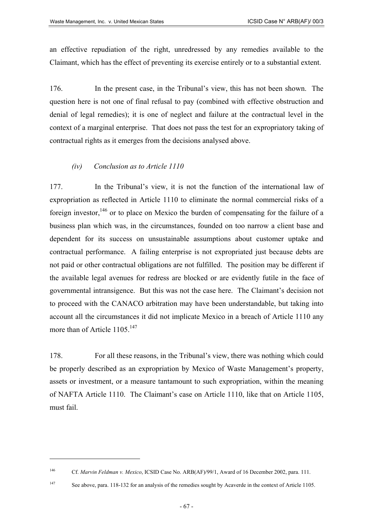an effective repudiation of the right, unredressed by any remedies available to the Claimant, which has the effect of preventing its exercise entirely or to a substantial extent.

176. In the present case, in the Tribunal's view, this has not been shown. The question here is not one of final refusal to pay (combined with effective obstruction and denial of legal remedies); it is one of neglect and failure at the contractual level in the context of a marginal enterprise. That does not pass the test for an expropriatory taking of contractual rights as it emerges from the decisions analysed above.

#### *(iv) Conclusion as to Article 1110*

177. In the Tribunal's view, it is not the function of the international law of expropriation as reflected in Article 1110 to eliminate the normal commercial risks of a foreign investor,  $146$  or to place on Mexico the burden of compensating for the failure of a business plan which was, in the circumstances, founded on too narrow a client base and dependent for its success on unsustainable assumptions about customer uptake and contractual performance. A failing enterprise is not expropriated just because debts are not paid or other contractual obligations are not fulfilled. The position may be different if the available legal avenues for redress are blocked or are evidently futile in the face of governmental intransigence. But this was not the case here. The Claimant's decision not to proceed with the CANACO arbitration may have been understandable, but taking into account all the circumstances it did not implicate Mexico in a breach of Article 1110 any more than of Article  $1105^{147}$  $1105^{147}$  $1105^{147}$ 

178. For all these reasons, in the Tribunal's view, there was nothing which could be properly described as an expropriation by Mexico of Waste Management's property, assets or investment, or a measure tantamount to such expropriation, within the meaning of NAFTA Article 1110. The Claimant's case on Article 1110, like that on Article 1105, must fail.

<span id="page-66-0"></span><sup>146</sup> Cf. *Marvin Feldman v. Mexico*, ICSID Case No. ARB(AF)/99/1, Award of 16 December 2002, para. 111.

<span id="page-66-1"></span><sup>&</sup>lt;sup>147</sup> See above, para. 118-132 for an analysis of the remedies sought by Acaverde in the context of Article 1105.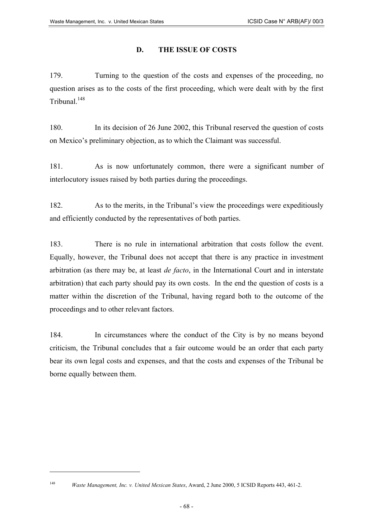# **D. THE ISSUE OF COSTS**

179. Turning to the question of the costs and expenses of the proceeding, no question arises as to the costs of the first proceeding, which were dealt with by the first Tribunal.<sup>148</sup>

180. In its decision of 26 June 2002, this Tribunal reserved the question of costs on Mexico's preliminary objection, as to which the Claimant was successful.

181. As is now unfortunately common, there were a significant number of interlocutory issues raised by both parties during the proceedings.

182. As to the merits, in the Tribunal's view the proceedings were expeditiously and efficiently conducted by the representatives of both parties.

183. There is no rule in international arbitration that costs follow the event. Equally, however, the Tribunal does not accept that there is any practice in investment arbitration (as there may be, at least *de facto*, in the International Court and in interstate arbitration) that each party should pay its own costs. In the end the question of costs is a matter within the discretion of the Tribunal, having regard both to the outcome of the proceedings and to other relevant factors.

184. In circumstances where the conduct of the City is by no means beyond criticism, the Tribunal concludes that a fair outcome would be an order that each party bear its own legal costs and expenses, and that the costs and expenses of the Tribunal be borne equally between them.

<span id="page-67-0"></span><sup>148</sup> *Waste Management, Inc. v. United Mexican States*, Award, 2 June 2000, 5 ICSID Reports 443, 461-2.